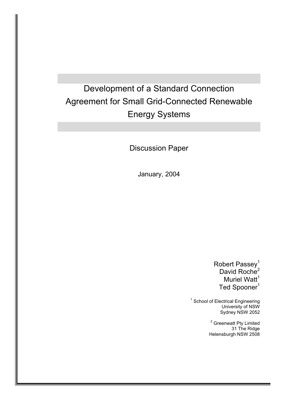# Development of a Standard Connection Agreement for Small Grid-Connected Renewable Energy Systems

Discussion Paper

January, 2004

Robert Passey<sup>1</sup> David Roche<sup>2</sup> Muriel Watt $<sup>1</sup>$ </sup> Ted Spooner<sup>1</sup>

<sup>1</sup> School of Electrical Engineering University of NSW Sydney NSW 2052

> <sup>2</sup> Greenwatt Pty Limited 31 The Ridge Helensburgh NSW 2508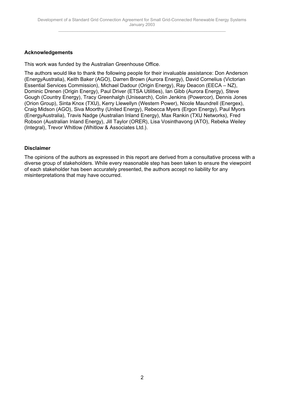#### **Acknowledgements**

This work was funded by the Australian Greenhouse Office.

The authors would like to thank the following people for their invaluable assistance: Don Anderson (EnergyAustralia), Keith Baker (AGO), Darren Brown (Aurora Energy), David Cornelius (Victorian Essential Services Commission), Michael Dadour (Origin Energy), Ray Deacon (EECA – NZ), Dominic Drenen (Origin Energy), Paul Driver (ETSA Utilities), Ian Gibb (Aurora Energy), Steve Gough (Country Energy), Tracy Greenhalgh (Unisearch), Colin Jenkins (Powercor), Dennis Jones (Orion Group), Sinta Knox (TXU), Kerry Llewellyn (Western Power), Nicole Maundrell (Energex), Craig Midson (AGO), Siva Moorthy (United Energy), Rebecca Myers (Ergon Energy), Paul Myors (EnergyAustralia), Travis Nadge (Australian Inland Energy), Max Rankin (TXU Networks), Fred Robson (Australian Inland Energy), Jill Taylor (ORER), Lisa Vosinthavong (ATO), Rebeka Weiley (Integral), Trevor Whitlow (Whitlow & Associates Ltd.).

#### **Disclaimer**

The opinions of the authors as expressed in this report are derived from a consultative process with a diverse group of stakeholders. While every reasonable step has been taken to ensure the viewpoint of each stakeholder has been accurately presented, the authors accept no liability for any misinterpretations that may have occurred.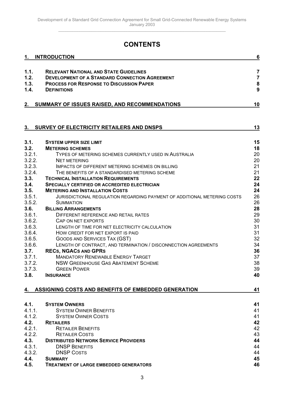## **CONTENTS**

| 1.     | <b>INTRODUCTION</b>                                                      | $6\phantom{1}6$ |
|--------|--------------------------------------------------------------------------|-----------------|
| 1.1.   | <b>RELEVANT NATIONAL AND STATE GUIDELINES</b>                            | $\overline{7}$  |
| 1.2.   | <b>DEVELOPMENT OF A STANDARD CONNECTION AGREEMENT</b>                    | $\overline{7}$  |
| 1.3.   | <b>PROCESS FOR RESPONSE TO DISCUSSION PAPER</b>                          | ${\bf 8}$       |
| 1.4.   | <b>DEFINITIONS</b>                                                       | 9               |
|        |                                                                          |                 |
|        | 2. SUMMARY OF ISSUES RAISED, AND RECOMMENDATIONS                         | 10              |
|        |                                                                          |                 |
| 3.     | SURVEY OF ELECTRICITY RETAILERS AND DNSPS                                | 13              |
| 3.1.   | <b>SYSTEM UPPER SIZE LIMIT</b>                                           | 15              |
| 3.2.   | <b>METERING SCHEMES</b>                                                  | 18              |
| 3.2.1. | TYPES OF METERING SCHEMES CURRENTLY USED IN AUSTRALIA                    | 20              |
| 3.2.2. | <b>NET METERING</b>                                                      | 20              |
| 3.2.3. | <b>IMPACTS OF DIFFERENT METERING SCHEMES ON BILLING</b>                  | 21              |
| 3.2.4. | THE BENEFITS OF A STANDARDISED METERING SCHEME                           | 21              |
| 3.3.   | <b>TECHNICAL INSTALLATION REQUIREMENTS</b>                               | 22              |
| 3.4.   | <b>SPECIALLY CERTIFIED OR ACCREDITED ELECTRICIAN</b>                     | 24              |
| 3.5.   | <b>METERING AND INSTALLATION COSTS</b>                                   | 24              |
| 3.5.1. | JURISDICTIONAL REGULATION REGARDING PAYMENT OF ADDITIONAL METERING COSTS | 26              |
| 3.5.2. | <b>SUMMATION</b>                                                         | 26              |
| 3.6.   | <b>BILLING ARRANGEMENTS</b>                                              | 28              |
| 3.6.1. | DIFFERENT REFERENCE AND RETAIL RATES                                     | 29              |
| 3.6.2. | CAP ON NET EXPORTS                                                       | 30              |
| 3.6.3. | LENGTH OF TIME FOR NET ELECTRICITY CALCULATION                           | 31              |
| 3.6.4. | HOW CREDIT FOR NET EXPORT IS PAID                                        | 31              |
| 3.6.5. | GOODS AND SERVICES TAX (GST)                                             | 32              |
| 3.6.6. | LENGTH OF CONTRACT, AND TERMINATION / DISCONNECTION AGREEMENTS           | 34              |
| 3.7.   | <b>RECS, NGACS AND GPRS</b>                                              | 36              |
| 3.7.1. | <b>MANDATORY RENEWABLE ENERGY TARGET</b>                                 | 37              |
| 3.7.2. | <b>NSW GREENHOUSE GAS ABATEMENT SCHEME</b>                               | 38              |
| 3.7.3. |                                                                          |                 |
|        | <b>GREEN POWER</b>                                                       | 39              |
| 3.8.   | <b>INSURANCE</b>                                                         | 40              |
| 4.     | ASSIGNING COSTS AND BENEFITS OF EMBEDDED GENERATION                      | 41              |
|        |                                                                          |                 |
| 4.1.   | <b>SYSTEM OWNERS</b>                                                     | 41              |
| 4.1.1. | <b>SYSTEM OWNER BENEFITS</b>                                             | 41              |
| 4.1.2. | <b>SYSTEM OWNER COSTS</b>                                                | 41              |
| 4.2.   | <b>RETAILERS</b>                                                         | 42              |
| 4.2.1. | <b>RETAILER BENEFITS</b>                                                 | 42              |
| 4.2.2. | <b>RETAILER COSTS</b>                                                    | 43              |
| 4.3.   | <b>DISTRIBUTED NETWORK SERVICE PROVIDERS</b>                             | 44              |
| 4.3.1. | <b>DNSP BENEFITS</b>                                                     | 44              |
| 4.3.2. | <b>DNSP COSTS</b>                                                        | 44              |
| 4.4.   | <b>SUMMARY</b>                                                           | 45              |
| 4.5.   | <b>TREATMENT OF LARGE EMBEDDED GENERATORS</b>                            | 46              |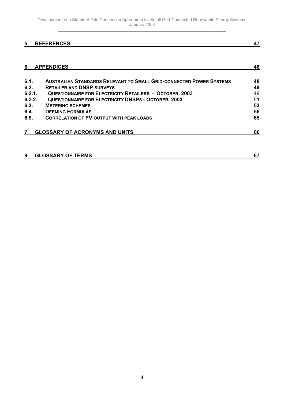### **[5. REFERENCES](#page-46-0) 47**

| <b>AUSTRALIAN STANDARDS RELEVANT TO SMALL GRID-CONNECTED POWER SYSTEMS</b> | 48 |
|----------------------------------------------------------------------------|----|
| <b>RETAILER AND DNSP SURVEYS</b>                                           | 49 |
| <b>QUESTIONNAIRE FOR ELECTRICITY RETAILERS - OCTOBER, 2003</b>             | 49 |
| <b>QUESTIONNAIRE FOR ELECTRICITY DNSPS - OCTOBER, 2003</b>                 | 51 |
| <b>METERING SCHEMES</b>                                                    | 53 |
| <b>DEEMING FORMULAS</b>                                                    | 56 |
| <b>CORRELATION OF PV OUTPUT WITH PEAK LOADS</b>                            | 65 |
| <b>GLOSSARY OF ACRONYMS AND UNITS</b>                                      | 66 |
|                                                                            |    |

| 8. | <b>GLOSSARY OF TERMS</b> |  |
|----|--------------------------|--|
|    |                          |  |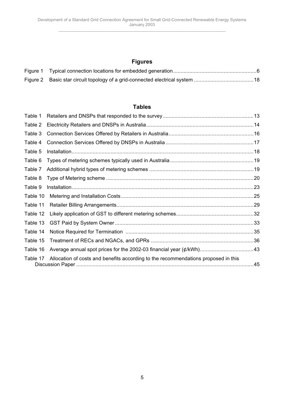## **Figures**

| Figure 2 Basic star circuit topology of a grid-connected electrical system 18 |  |
|-------------------------------------------------------------------------------|--|

#### **Tables**

| Table 1  |                                                                                    |  |
|----------|------------------------------------------------------------------------------------|--|
| Table 2  |                                                                                    |  |
| Table 3  |                                                                                    |  |
| Table 4  |                                                                                    |  |
| Table 5  |                                                                                    |  |
| Table 6  |                                                                                    |  |
| Table 7  |                                                                                    |  |
| Table 8  |                                                                                    |  |
| Table 9  |                                                                                    |  |
| Table 10 |                                                                                    |  |
| Table 11 |                                                                                    |  |
| Table 12 |                                                                                    |  |
| Table 13 |                                                                                    |  |
| Table 14 |                                                                                    |  |
| Table 15 |                                                                                    |  |
| Table 16 |                                                                                    |  |
| Table 17 | Allocation of costs and benefits according to the recommendations proposed in this |  |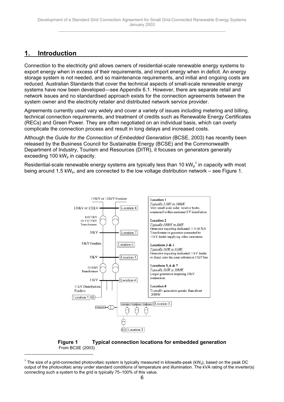## <span id="page-5-0"></span>**1. Introduction**

Connection to the electricity grid allows owners of residential-scale renewable energy systems to export energy when in excess of their requirements, and import energy when in deficit. An energy storage system is not needed, and so maintenance requirements, and initial and ongoing costs are reduced. Australian Standards that cover the technical aspects of small-scale renewable energy systems have now been developed—see Appendix 6.1. However, there are separate retail and network issues and no standardised approach exists for the connection agreements between the system owner and the electricity retailer and distributed network service provider.

Agreements currently used vary widely and cover a variety of issues including metering and billing, technical connection requirements, and treatment of credits such as Renewable Energy Certificates (RECs) and Green Power. They are often negotiated on an individual basis, which can overly complicate the connection process and result in long delays and increased costs.

Although the *Guide for the Connection of Embedded Generation* (BCSE, 2003) has recently been released by the Business Council for Sustainable Energy (BCSE) and the Commonwealth Department of Industry, Tourism and Resources (DITR), it focuses on generators generally exceeding 100  $kW_p$  in capacity.

Residential-scale renewable energy systems are typically less than 10 kW $_{\rm p}^{\rm -1}$  in capacity with most being around 1.5 kW<sub>p</sub>, and are connected to the low voltage distribution network – see Figure 1.





 $^{\text{1}}$  The size of a grid-connected photovoltaic system is typically measured in kilowatts-peak (kW<sub>p</sub>), based on the peak DC output of the photovoltaic array under standard conditions of temperature and illumination. The kVA rating of the inverter(s) connecting such a system to the grid is typically 75–100% of this value.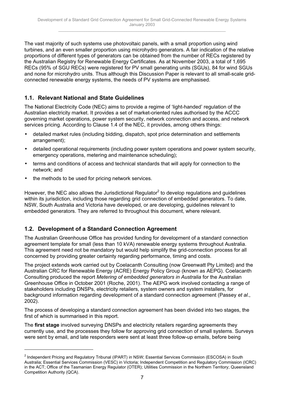The vast majority of such systems use photovoltaic panels, with a small proportion using wind turbines, and an even smaller proportion using microhydro generators. A fair indication of the relative proportions of different types of generators can be obtained from the number of RECs registered by the Australian Registry for Renewable Energy Certificates. As at November 2003, a total of 1,695 RECs (95% of SGU RECs) were registered for PV small generating units (SGUs), 84 for wind SGUs and none for microhydro units. Thus although this Discussion Paper is relevant to all small-scale gridconnected renewable energy systems, the needs of PV systems are emphasised.

## **1.1. Relevant National and State Guidelines**

The National Electricity Code (NEC) aims to provide a regime of 'light-handed' regulation of the Australian electricity market. It provides a set of market-oriented rules authorised by the ACCC governing market operations, power system security, network connection and access, and network services pricing. According to Clause 1.4 of the NEC, it provides, among others things:

- detailed market rules (including bidding, dispatch, spot price determination and settlements arrangement);
- detailed operational requirements (including power system operations and power system security, emergency operations, metering and maintenance scheduling);
- terms and conditions of access and technical standards that will apply for connection to the network; and
- the methods to be used for pricing network services.

 $\overline{a}$ 

However, the NEC also allows the Jurisdictional Regulator $^2$  to develop regulations and guidelines within its jurisdiction, including those regarding grid connection of embedded generators. To date, NSW, South Australia and Victoria have developed, or are developing, guidelines relevant to embedded generators. They are referred to throughout this document, where relevant.

## **1.2. Development of a Standard Connection Agreement**

The Australian Greenhouse Office has provided funding for development of a standard connection agreement template for small (less than 10 kVA) renewable energy systems throughout Australia. This agreement need not be mandatory but would help simplify the grid-connection process for all concerned by providing greater certainty regarding performance, timing and costs.

The project extends work carried out by Coelacanth Consulting (now Greenwatt Pty Limited) and the Australian CRC for Renewable Energy (ACRE) Energy Policy Group (known as AEPG). Coelacanth Consulting produced the report *Metering of embedded generators in Australia* for the Australian Greenhouse Office in October 2001 (Roche, 2001). The AEPG work involved contacting a range of stakeholders including DNSPs, electricity retailers, system owners and system installers, for background information regarding development of a standard connection agreement (Passey *et al*., 2002).

The process of developing a standard connection agreement has been divided into two stages, the first of which is summarised in this report.

The **first stage** involved surveying DNSPs and electricity retailers regarding agreements they currently use, and the processes they follow for approving grid connection of small systems. Surveys were sent by email, and late responders were sent at least three follow-up emails, before being

 $^2$  Independent Pricing and Regulatory Tribunal (IPART) in NSW; Essential Services Commission (ESCOSA) in South Australia; Essential Services Commission (VESC) in Victoria; Independent Competition and Regulatory Commission (ICRC) in the ACT; Office of the Tasmanian Energy Regulator (OTER); Utilities Commission in the Northern Territory; Queensland Competition Authority (QCA).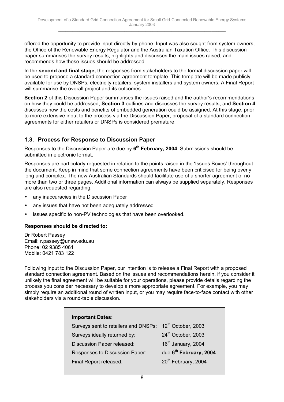offered the opportunity to provide input directly by phone. Input was also sought from system owners, the Office of the Renewable Energy Regulator and the Australian Taxation Office. This discussion paper summarises the survey results, highlights and discusses the main issues raised, and recommends how these issues should be addressed.

In the **second and final stage,** the responses from stakeholders to the formal discussion paper will be used to propose a standard connection agreement template. This template will be made publicly available for use by DNSPs, electricity retailers, system installers and system owners. A Final Report will summarise the overall project and its outcomes.

**Section 2** of this Discussion Paper summarises the issues raised and the author's recommendations on how they could be addressed, **Section 3** outlines and discusses the survey results, and **Section 4** discusses how the costs and benefits of embedded generation could be assigned. At this stage, prior to more extensive input to the process via the Discussion Paper, proposal of a standard connection agreements for either retailers or DNSPs is considered premature.

## **1.3. Process for Response to Discussion Paper**

Responses to the Discussion Paper are due by **6th February, 2004**. Submissions should be submitted in electronic format.

Responses are particularly requested in relation to the points raised in the 'Issues Boxes' throughout the document. Keep in mind that some connection agreements have been criticised for being overly long and complex. The new Australian Standards should facilitate use of a shorter agreement of no more than two or three pages. Additional information can always be supplied separately. Responses are also requested regarding;

- any inaccuracies in the Discussion Paper
- any issues that have not been adequately addressed
- issues specific to non-PV technologies that have been overlooked.

## **Responses should be directed to:**

Dr Robert Passey Email: r.passey@unsw.edu.au Phone: 02 9385 4061 Mobile: 0421 783 122

Following input to the Discussion Paper, our intention is to release a Final Report with a proposed standard connection agreement. Based on the issues and recommendations herein, if you consider it unlikely the final agreement will be suitable for your operations, please provide details regarding the process you consider necessary to develop a more appropriate agreement. For example, you may simply require an additional round of written input, or you may require face-to-face contact with other stakeholders via a round-table discussion.

| <b>Important Dates:</b>                                             |                                    |
|---------------------------------------------------------------------|------------------------------------|
| Surveys sent to retailers and DNSPs: 12 <sup>th</sup> October, 2003 |                                    |
| Surveys ideally returned by:                                        | 24th October, 2003                 |
| Discussion Paper released:                                          | 16 <sup>th</sup> January, 2004     |
| Responses to Discussion Paper:                                      | due 6 <sup>th</sup> February, 2004 |
| Final Report released:                                              | 20 <sup>th</sup> February, 2004    |
|                                                                     |                                    |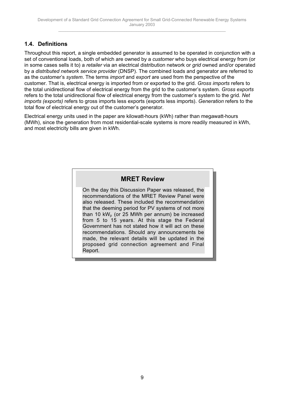## **1.4. Definitions**

Throughout this report, a single embedded generator is assumed to be operated in conjunction with a set of conventional loads, both of which are owned by a *customer* who buys electrical energy from (or in some cases sells it to) a *retailer* via an electrical distribution network or *grid* owned and/or operated by a *distributed network service provider* (DNSP). The combined loads and generator are referred to as the customer's *system*. The terms *import* and *export* are used from the perspective of the customer. That is, electrical energy is imported from or exported to the grid. *Gross imports* refers to the total unidirectional flow of electrical energy from the grid to the customer's system. *Gross exports* refers to the total unidirectional flow of electrical energy from the customer's system to the grid. *Net imports (exports)* refers to gross imports less exports (exports less imports). *Generation* refers to the total flow of electrical energy out of the customer's generator.

Electrical energy units used in the paper are kilowatt-hours (kWh) rather than megawatt-hours (MWh), since the generation from most residential-scale systems is more readily measured in kWh, and most electricity bills are given in kWh.

## **MRET Review**

On the day this Discussion Paper was released, the recommendations of the MRET Review Panel were also released. These included the recommendation that the deeming period for PV systems of not more than 10 kW<sub>p</sub> (or 25 MWh per annum) be increased from 5 to 15 years. At this stage the Federal Government has not stated how it will act on these recommendations. Should any announcements be made, the relevant details will be updated in the proposed grid connection agreement and Final Report.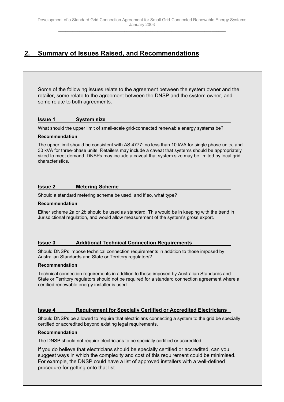## <span id="page-9-0"></span>**2. Summary of Issues Raised, and Recommendations**

Some of the following issues relate to the agreement between the system owner and the retailer, some relate to the agreement between the DNSP and the system owner, and some relate to both agreements.

#### **Issue 1 System size**

What should the upper limit of small-scale grid-connected renewable energy systems be?

#### **Recommendation**

The upper limit should be consistent with AS 4777: no less than 10 kVA for single phase units, and 30 kVA for three-phase units. Retailers may include a caveat that systems should be appropriately sized to meet demand. DNSPs may include a caveat that system size may be limited by local grid characteristics.

#### **Issue 2 Metering Scheme**

Should a standard metering scheme be used, and if so, what type?

#### **Recommendation**

Either scheme 2a or 2b should be used as standard. This would be in keeping with the trend in Jurisdictional regulation, and would allow measurement of the system's gross export.

#### **Issue 3 Additional Technical Connection Requirements**

Should DNSPs impose technical connection requirements in addition to those imposed by Australian Standards and State or Territory regulators?

#### **Recommendation**

Technical connection requirements in addition to those imposed by Australian Standards and State or Territory regulators should not be required for a standard connection agreement where a certified renewable energy installer is used.

#### **Issue 4 Requirement for Specially Certified or Accredited Electricians**

Should DNSPs be allowed to require that electricians connecting a system to the grid be specially certified or accredited beyond existing legal requirements.

#### **Recommendation**

The DNSP should not require electricians to be specially certified or accredited.

If you do believe that electricians should be specially certified or accredited, can you suggest ways in which the complexity and cost of this requirement could be minimised. For example, the DNSP could have a list of approved installers with a well-defined procedure for getting onto that list.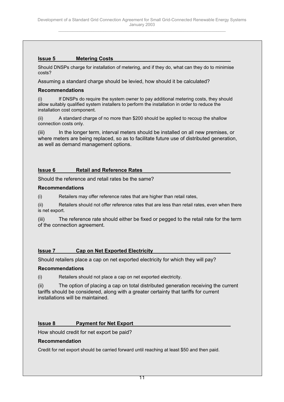## **Issue 5 Metering Costs**

Should DNSPs charge for installation of metering, and if they do, what can they do to minimise costs?

Assuming a standard charge should be levied, how should it be calculated?

#### **Recommendations**

(i) If DNSPs do require the system owner to pay additional metering costs, they should allow suitably qualified system installers to perform the installation in order to reduce the installation cost component.

(ii) A standard charge of no more than \$200 should be applied to recoup the shallow connection costs only.

(iii) In the longer term, interval meters should be installed on all new premises, or where meters are being replaced, so as to facilitate future use of distributed generation, as well as demand management options.

#### **Issue 6 Retail and Reference Rates**

Should the reference and retail rates be the same?

#### **Recommendations**

(i) Retailers may offer reference rates that are higher than retail rates,

(ii) Retailers should not offer reference rates that are less than retail rates, even when there is net export.

(iii) The reference rate should either be fixed or pegged to the retail rate for the term of the connection agreement.

#### **Issue 7 Cap on Net Exported Electricity**

Should retailers place a cap on net exported electricity for which they will pay?

#### **Recommendations**

(i) Retailers should not place a cap on net exported electricity.

(ii) The option of placing a cap on total distributed generation receiving the current tariffs should be considered, along with a greater certainty that tariffs for current installations will be maintained.

#### **Issue 8 Payment for Net Export**

How should credit for net export be paid?

#### **Recommendation**

Credit for net export should be carried forward until reaching at least \$50 and then paid.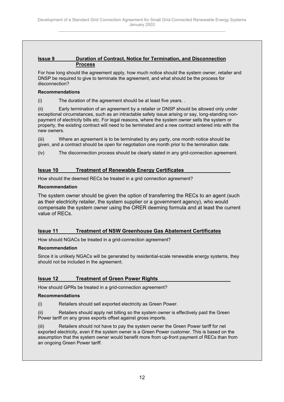#### **Issue 9 Duration of Contract, Notice for Termination, and Disconnection Process**

For how long should the agreement apply, how much notice should the system owner, retailer and DNSP be required to give to terminate the agreement, and what should be the process for disconnection?

#### **Recommendations**

(i) The duration of the agreement should be at least five years. .

(ii) Early termination of an agreement by a retailer or DNSP should be allowed only under exceptional circumstances, such as an intractable safety issue arising or say, long-standing nonpayment of electricity bills etc. For legal reasons, where the system owner sells the system or property, the existing contract will need to be terminated and a new contract entered into with the new owners.

(iii) Where an agreement is to be terminated by any party, one month notice should be given, and a contract should be open for negotiation one month prior to the termination date.

(iv) The disconnection process should be clearly stated in any grid-connection agreement.

### **Issue 10 Treatment of Renewable Energy Certificates**

How should the deemed RECs be treated in a grid connection agreement?

#### **Recommendation**

The system owner should be given the option of transferring the RECs to an agent (such as their electricity retailer, the system supplier or a government agency), who would compensate the system owner using the ORER deeming formula and at least the current value of RECs.

#### **Issue 11 Treatment of NSW Greenhouse Gas Abatement Certificates**

How should NGACs be treated in a grid-connection agreement?

#### **Recommendation**

Since it is unlikely NGACs will be generated by residential-scale renewable energy systems, they should not be included in the agreement.

#### **Issue 12 Treatment of Green Power Rights**

How should GPRs be treated in a grid-connection agreement?

#### **Recommendations**

(i) Retailers should sell exported electricity as Green Power.

(ii) Retailers should apply net billing so the system owner is effectively paid the Green Power tariff on any gross exports offset against gross imports.

(iii) Retailers should not have to pay the system owner the Green Power tariff for net exported electricity, even if the system owner is a Green Power customer. This is based on the assumption that the system owner would benefit more from up-front payment of RECs than from an ongoing Green Power tariff.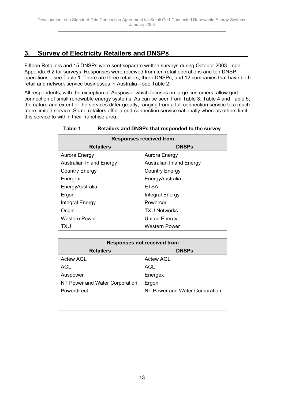## <span id="page-12-0"></span>**3. Survey of Electricity Retailers and DNSPs**

Fifteen Retailers and 15 DNSPs were sent separate written surveys during October 2003—see Appendix 6.2 for surveys. Responses were received from ten retail operations and ten DNSP operations—see Table 1. There are three retailers, three DNSPs, and 12 companies that have both retail and network service businesses in Australia—see Table 2.

All respondents, with the exception of Auspower which focuses on large customers, allow grid connection of small renewable energy systems. As can be seen from Table 3, Table 4 and Table 5, the nature and extent of the services differ greatly, ranging from a full connection service to a much more limited service. Some retailers offer a grid-connection service nationally whereas others limit this service to within their franchise area.

| <b>Responses received from</b>  |                                 |  |  |  |  |  |  |  |
|---------------------------------|---------------------------------|--|--|--|--|--|--|--|
| <b>Retailers</b>                | <b>DNSPs</b>                    |  |  |  |  |  |  |  |
| Aurora Energy                   | Aurora Energy                   |  |  |  |  |  |  |  |
| <b>Australian Inland Energy</b> | <b>Australian Inland Energy</b> |  |  |  |  |  |  |  |
| <b>Country Energy</b>           | <b>Country Energy</b>           |  |  |  |  |  |  |  |
| Energex                         | EnergyAustralia                 |  |  |  |  |  |  |  |
| EnergyAustralia                 | <b>ETSA</b>                     |  |  |  |  |  |  |  |
| Ergon                           | Integral Energy                 |  |  |  |  |  |  |  |
| Integral Energy                 | Powercor                        |  |  |  |  |  |  |  |
| Origin                          | <b>TXU Networks</b>             |  |  |  |  |  |  |  |
| <b>Western Power</b>            | United Energy                   |  |  |  |  |  |  |  |
| TXU                             | Western Power                   |  |  |  |  |  |  |  |

#### **Table 1 Retailers and DNSPs that responded to the survey**

| <b>Responses not received from</b> |                                |  |  |  |  |  |  |  |  |  |
|------------------------------------|--------------------------------|--|--|--|--|--|--|--|--|--|
| <b>Retailers</b>                   | <b>DNSPs</b>                   |  |  |  |  |  |  |  |  |  |
| Actew AGL                          | Actew AGL                      |  |  |  |  |  |  |  |  |  |
| AGL                                | AGL                            |  |  |  |  |  |  |  |  |  |
| Auspower                           | Energex                        |  |  |  |  |  |  |  |  |  |
| NT Power and Water Corporation     | Ergon                          |  |  |  |  |  |  |  |  |  |
| Powerdirect                        | NT Power and Water Corporation |  |  |  |  |  |  |  |  |  |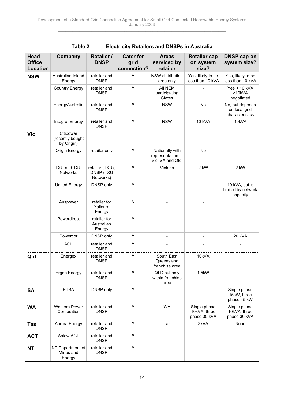| <b>Head</b><br><b>Office</b><br><b>Location</b> | Company                                     | <b>Retailer /</b><br><b>DNSP</b>          | <b>Cater for</b><br>grid<br>connection? | <b>Areas</b><br>serviced by<br>retailer                  | <b>Retailer cap</b><br>on system<br>size?    | <b>DNSP cap on</b><br>system size?                  |
|-------------------------------------------------|---------------------------------------------|-------------------------------------------|-----------------------------------------|----------------------------------------------------------|----------------------------------------------|-----------------------------------------------------|
| <b>NSW</b>                                      | Australian Inland<br>Energy                 | retailer and<br><b>DNSP</b>               | Y                                       | NSW distribution<br>area only                            | Yes, likely to be<br>less than 10 kVA        | Yes, likely to be<br>less than 10 kVA               |
|                                                 | <b>Country Energy</b>                       | retailer and<br><b>DNSP</b>               | Y                                       | All NEM<br>participating<br><b>States</b>                |                                              | $Yes < 10$ kVA<br>>10kVA<br>negotiated              |
|                                                 | EnergyAustralia                             | retailer and<br><b>DNSP</b>               | Y                                       | <b>NSW</b>                                               | <b>No</b>                                    | No, but depends<br>on local grid<br>characteristics |
|                                                 | Integral Energy                             | retailer and<br><b>DNSP</b>               | Y                                       | <b>NSW</b>                                               | 10 kVA                                       | 10kVA                                               |
| <b>Vic</b>                                      | Citipower<br>(recently bought<br>by Origin) |                                           |                                         |                                                          |                                              |                                                     |
|                                                 | Origin Energy                               | retailer only                             | Y                                       | Nationally with<br>representation in<br>Vic, SA and Qld. | <b>No</b>                                    |                                                     |
|                                                 | TXU and TXU<br><b>Networks</b>              | retailer (TXU),<br>DNSP (TXU<br>Networks) | Y                                       | Victoria                                                 | 2 kW                                         | 2 kW                                                |
|                                                 | <b>United Energy</b>                        | DNSP only                                 | Y                                       |                                                          |                                              | 10 kVA, but is<br>limited by network<br>capacity    |
|                                                 | Auspower                                    | retailer for<br>Yallourn<br>Energy        | N                                       |                                                          |                                              |                                                     |
|                                                 | Powerdirect                                 | retailer for<br>Australian<br>Energy      | Y                                       |                                                          |                                              |                                                     |
|                                                 | Powercor                                    | DNSP only                                 | Y                                       |                                                          |                                              | 20 kVA                                              |
|                                                 | <b>AGL</b>                                  | retailer and<br><b>DNSP</b>               | Y                                       |                                                          |                                              |                                                     |
| Qld                                             | Energex                                     | retailer and<br><b>DNSP</b>               | Υ                                       | South East<br>Queensland<br>franchise area               | 10kVA                                        |                                                     |
|                                                 | Ergon Energy                                | retailer and<br><b>DNSP</b>               | Y                                       | QLD but only<br>within franchise<br>area                 | 1.5kW                                        |                                                     |
| <b>SA</b>                                       | <b>ETSA</b>                                 | DNSP only                                 | Y                                       |                                                          |                                              | Single phase<br>15kW, three<br>phase 45 kW          |
| <b>WA</b>                                       | <b>Western Power</b><br>Corporation         | retailer and<br><b>DNSP</b>               | Υ                                       | <b>WA</b>                                                | Single phase<br>10kVA, three<br>phase 30 kVA | Single phase<br>10kVA, three<br>phase 30 kVA        |
| <b>Tas</b>                                      | Aurora Energy                               | retailer and<br><b>DNSP</b>               | Υ                                       | Tas                                                      | 3kVA                                         | None                                                |
| <b>ACT</b>                                      | Actew AGL                                   | retailer and<br><b>DNSP</b>               | Υ                                       |                                                          |                                              |                                                     |
| <b>NT</b>                                       | NT Department of<br>Mines and<br>Energy     | retailer and<br><b>DNSP</b>               | Υ                                       |                                                          |                                              |                                                     |

| Table 2 |  | <b>Electricity Retailers and DNSPs in Australia</b> |  |  |
|---------|--|-----------------------------------------------------|--|--|
|---------|--|-----------------------------------------------------|--|--|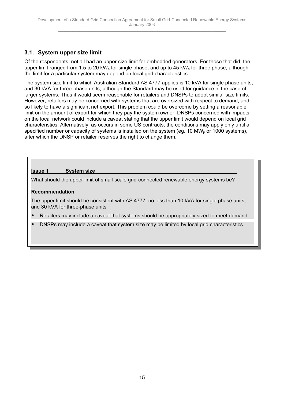## <span id="page-14-0"></span>**3.1. System upper size limit**

Of the respondents, not all had an upper size limit for embedded generators. For those that did, the upper limit ranged from 1.5 to 20 kW<sub>p</sub> for single phase, and up to 45 kW<sub>p</sub> for three phase, although the limit for a particular system may depend on local grid characteristics.

The system size limit to which Australian Standard AS 4777 applies is 10 kVA for single phase units, and 30 kVA for three-phase units, although the Standard may be used for guidance in the case of larger systems. Thus it would seem reasonable for retailers and DNSPs to adopt similar size limits. However, retailers may be concerned with systems that are oversized with respect to demand, and so likely to have a significant net export. This problem could be overcome by setting a reasonable limit on the amount of export for which they pay the system owner. DNSPs concerned with impacts on the local network could include a caveat stating that the upper limit would depend on local grid characteristics. Alternatively, as occurs in some US contracts, the conditions may apply only until a specified number or capacity of systems is installed on the system (eq. 10 MW<sub>p</sub> or 1000 systems), after which the DNSP or retailer reserves the right to change them.

## **Issue 1 System size**

What should the upper limit of small-scale grid-connected renewable energy systems be?

## **Recommendation**

The upper limit should be consistent with AS 4777: no less than 10 kVA for single phase units, and 30 kVA for three-phase units

- Retailers may include a caveat that systems should be appropriately sized to meet demand
- DNSPs may include a caveat that system size may be limited by local grid characteristics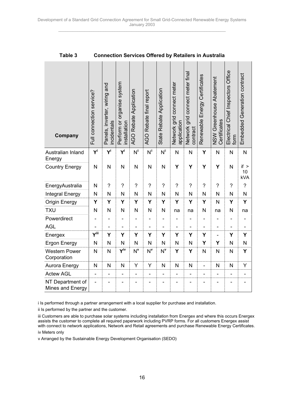| Company                              | Full connection service? | Panels, inverter, wiring and<br>incidentals | Perform or organise system<br>installation | <b>AGO Rebate Application</b> | AGO Rebate final report | State Rebate Application | connect meter<br>Network grid<br>application | Network grid connect meter final<br>contract | Renewable Energy Certificates | NSW Greenhouse Abatement<br>Certificates | Electrical Chief Inspectors Office<br>form | Embedded Generation contract |
|--------------------------------------|--------------------------|---------------------------------------------|--------------------------------------------|-------------------------------|-------------------------|--------------------------|----------------------------------------------|----------------------------------------------|-------------------------------|------------------------------------------|--------------------------------------------|------------------------------|
| Australian Inland<br>Energy          | $Y^i$                    | $Y^i$                                       | $Y^i$                                      | $N^{ii}$                      | $N^{ii}$                | $N^{ii}$                 | N                                            | $\overline{\mathsf{N}}$                      | Υ                             | N                                        | $\mathsf{N}$                               | $\mathsf{N}$                 |
| <b>Country Energy</b>                | N                        | N                                           | N                                          | N                             | N                       | N                        | Υ                                            | Y                                            | Υ                             | Y                                        | N                                          | if ><br>10<br><b>kVA</b>     |
| EnergyAustralia                      | N                        | $\overline{\mathcal{C}}$                    | $\overline{\mathcal{C}}$                   | ?                             | $\tilde{?}$             | ?                        | $\tilde{?}$                                  | $\overline{\mathcal{C}}$                     | $\overline{?}$                | $\overline{\mathcal{C}}$                 | $\overline{?}$                             | $\tilde{?}$                  |
| Integral Energy                      | N                        | N                                           | N                                          | N                             | N                       | N                        | N                                            | N                                            | N                             | N                                        | N                                          | N                            |
| <b>Origin Energy</b>                 | Y                        | Y                                           | Y                                          | Y                             | Y                       | Υ                        | Y                                            | Ý                                            | Y                             | N                                        | Y                                          | Y                            |
| <b>TXU</b>                           | N                        | N                                           | N                                          | N                             | N                       | N                        | na                                           | na                                           | N                             | na                                       | N                                          | na                           |
| Powerdirect                          |                          |                                             |                                            |                               |                         |                          |                                              |                                              |                               |                                          |                                            |                              |
| <b>AGL</b>                           |                          |                                             |                                            |                               |                         |                          |                                              |                                              |                               |                                          |                                            |                              |
| Energex                              | $Y^{iii}$                | Y                                           | Y                                          | Y                             | Y                       | Υ                        | Y                                            | Υ                                            | Y                             | ÷,                                       | Υ                                          | Υ                            |
| <b>Ergon Energy</b>                  | N                        | N                                           | N                                          | N                             | N                       | N                        | N                                            | $\mathsf{N}$                                 | Y                             | Υ                                        | N                                          | N                            |
| <b>Western Power</b><br>Corporation  | $\overline{\mathsf{N}}$  | N                                           | Yiv                                        | $N^{\mathsf{v}}$              | $N^{\mathsf{v}}$        | $N^{\mathsf{v}}$         | Y                                            | Y                                            | N                             | N                                        | N                                          | Y                            |
| Aurora Energy                        | $\mathsf{N}$             | N                                           | N                                          | Y                             | Υ                       | N                        | N                                            | $\mathsf{N}$                                 | ÷,                            | $\mathsf{N}$                             | $\mathsf{N}$                               | Υ                            |
| <b>Actew AGL</b>                     |                          |                                             |                                            |                               |                         |                          |                                              |                                              |                               |                                          |                                            |                              |
| NT Department of<br>Mines and Energy |                          |                                             |                                            |                               |                         |                          |                                              |                                              |                               |                                          |                                            |                              |

**Table 3 Connection Services Offered by Retailers in Australia**

i Is performed through a partner arrangement with a local supplier for purchase and installation.

ii Is performed by the partner and the customer.

v Arranged by the Sustainable Energy Development Organisation (SEDO)

iii Customers are able to purchase solar systems including installation from Energex and where this occurs Energex assists the customer to complete all required paperwork including PVRP forms. For all customers Energex assist with connect to network applications, Network and Retail agreements and purchase Renewable Energy Certificates. iv Meters only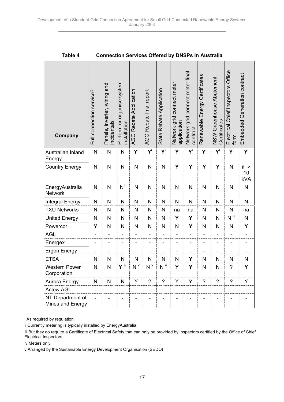| Company                              | Full connection service? | Panels, inverter, wiring and<br>ncidentals | Perform or organise system<br>nstallation | AGO Rebate Application | AGO Rebate final report | State Rebate Application     | Network grid connect meter<br>application | grid connect meter final<br>Network<br>contract | Renewable Energy Certificates | NSW Greenhouse Abatement<br>Certificates | Electrical Chief Inspectors Office<br>form | Embedded Generation contract |
|--------------------------------------|--------------------------|--------------------------------------------|-------------------------------------------|------------------------|-------------------------|------------------------------|-------------------------------------------|-------------------------------------------------|-------------------------------|------------------------------------------|--------------------------------------------|------------------------------|
| Australian Inland<br>Energy          | $\mathsf{N}$             | N                                          | N                                         | Y                      | Y                       | Y                            | Y                                         | $Y^i$                                           | $Y^i$                         | Y                                        | Y                                          | Y                            |
| <b>Country Energy</b>                | $\overline{\mathsf{N}}$  | N                                          | N                                         | $\mathsf{N}$           | N                       | N                            | Y                                         | Υ                                               | Υ                             | Υ                                        | N                                          | if ><br>10<br><b>kVA</b>     |
| EnergyAustralia<br>Network           | $\overline{\mathsf{N}}$  | N                                          | $N^{ii}$                                  | N                      | N                       | N                            | N                                         | N                                               | N                             | N                                        | N                                          | N                            |
| Integral Energy                      | N                        | N                                          | N                                         | N                      | $\mathsf{N}$            | N                            | N                                         | N                                               | N                             | N                                        | N                                          | $\mathsf{N}$                 |
| <b>TXU Networks</b>                  | N                        | N                                          | N                                         | $\mathsf{N}$           | $\mathsf{N}$            | N                            | na                                        | na                                              | N                             | $\mathsf{N}$                             | N                                          | na                           |
| <b>United Energy</b>                 | N                        | N                                          | N                                         | N                      | $\mathsf{N}$            | N                            | Υ                                         | Y                                               | N                             | N                                        | $N$ $^{\rm{iii}}$                          | $\mathsf{N}$                 |
| Powercor                             | Y                        | N                                          | N                                         | N                      | N                       | N                            | N                                         | Υ                                               | N                             | N                                        | N                                          | Υ                            |
| <b>AGL</b>                           |                          | -                                          |                                           |                        | -                       |                              |                                           | -                                               |                               |                                          | -                                          |                              |
| Energex                              |                          |                                            |                                           |                        |                         |                              |                                           |                                                 |                               |                                          |                                            |                              |
| Ergon Energy                         |                          |                                            |                                           |                        |                         |                              |                                           |                                                 |                               |                                          |                                            |                              |
| <b>ETSA</b>                          | N                        | N                                          | N                                         | N                      | N                       | N                            | N                                         | Y                                               | N                             | N                                        | N                                          | $\mathsf{N}$                 |
| <b>Western Power</b><br>Corporation  | N                        | N                                          | Y iv                                      | N <sup>v</sup>         | N <sup>v</sup>          | N <sup>v</sup>               | Y                                         | Y                                               | N                             | N                                        | $\overline{\phantom{a}}$                   | Υ                            |
| Aurora Energy                        | N                        | N                                          | N                                         | Υ                      | $\tilde{ }$             | $\tilde{?}$                  | Υ                                         | Υ                                               | $\tilde{?}$                   | $\overline{?}$                           | $\overline{?}$                             | Υ                            |
| <b>Actew AGL</b>                     | $\overline{\phantom{0}}$ | $\blacksquare$                             | $\blacksquare$                            | $\blacksquare$         | $\blacksquare$          | $\qquad \qquad \blacksquare$ | $\overline{\phantom{0}}$                  | $\blacksquare$                                  | $\overline{\phantom{0}}$      | $\blacksquare$                           | $\blacksquare$                             | $\qquad \qquad \blacksquare$ |
| NT Department of<br>Mines and Energy |                          |                                            |                                           |                        |                         |                              |                                           |                                                 |                               |                                          |                                            |                              |

**Table 4 Connection Services Offered by DNSPs in Australia**

i As required by regulation

ii Currently metering is typically installed by EnergyAustralia

iii But they do require a Certificate of Electrical Safety that can only be provided by inspectors certified by the Office of Chief Electrical Inspectors.

iv Meters only

v Arranged by the Sustainable Energy Development Organisation (SEDO)

17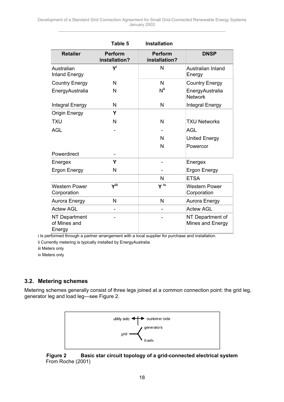<span id="page-17-0"></span>

|                                                | Table 5                         | <b>Installation</b>             |                                      |
|------------------------------------------------|---------------------------------|---------------------------------|--------------------------------------|
| <b>Retailer</b>                                | <b>Perform</b><br>installation? | <b>Perform</b><br>installation? | <b>DNSP</b>                          |
| Australian<br><b>Inland Energy</b>             | Y                               | N                               | Australian Inland<br>Energy          |
| <b>Country Energy</b>                          | N                               | N                               | <b>Country Energy</b>                |
| EnergyAustralia                                | N                               | N"                              | EnergyAustralia<br><b>Network</b>    |
| <b>Integral Energy</b>                         | N                               | N                               | Integral Energy                      |
| <b>Origin Energy</b>                           | Υ                               |                                 |                                      |
| <b>TXU</b>                                     | N                               | N                               | <b>TXU Networks</b>                  |
| <b>AGL</b>                                     |                                 |                                 | <b>AGL</b>                           |
|                                                |                                 | N                               | <b>United Energy</b>                 |
|                                                |                                 | N                               | Powercor                             |
| Powerdirect                                    |                                 |                                 |                                      |
| Energex                                        | Y                               |                                 | Energex                              |
| Ergon Energy                                   | N                               |                                 | Ergon Energy                         |
|                                                |                                 | N                               | <b>ETSA</b>                          |
| <b>Western Power</b><br>Corporation            | Yiii                            | Y <sup>iv</sup>                 | <b>Western Power</b><br>Corporation  |
| Aurora Energy                                  | N                               | N                               | Aurora Energy                        |
| <b>Actew AGL</b>                               |                                 |                                 | <b>Actew AGL</b>                     |
| <b>NT Department</b><br>of Mines and<br>Energy |                                 |                                 | NT Department of<br>Mines and Energy |

i Is performed through a partner arrangement with a local supplier for purchase and installation.

ii Currently metering is typically installed by EnergyAustralia

iii Meters only

iv Meters only

## **3.2. Metering schemes**

Metering schemes generally consist of three legs joined at a common connection point: the grid leg, generator leg and load leg—see Figure 2.



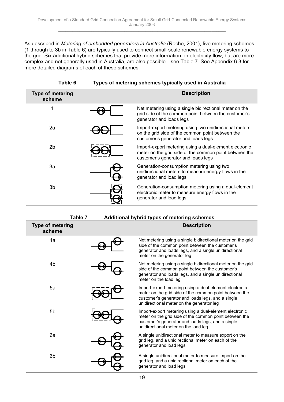As described in *Metering of embedded generators in Australia* (Roche, 2001), five metering schemes (1 through to 3b in Table 6) are typically used to connect small-scale renewable energy systems to the grid. Six additional hybrid schemes that provide more information on electricity flow, but are more complex and not generally used in Australia, are also possible—see Table 7. See Appendix 6.3 for more detailed diagrams of each of these schemes.

| Table 6 |  | Types of metering schemes typically used in Australia |  |  |
|---------|--|-------------------------------------------------------|--|--|
|         |  |                                                       |  |  |

| <b>Type of metering</b><br>scheme | <b>Description</b>                                                                                                                                      |
|-----------------------------------|---------------------------------------------------------------------------------------------------------------------------------------------------------|
| 1                                 | Net metering using a single bidirectional meter on the<br>grid side of the common point between the customer's<br>generator and loads legs              |
| 2a                                | Import-export metering using two unidirectional meters<br>on the grid side of the common point between the<br>customer's generator and loads legs       |
| 2 <sub>b</sub>                    | Import-export metering using a dual-element electronic<br>meter on the grid side of the common point between the<br>customer's generator and loads legs |
| 3a                                | Generation-consumption metering using two<br>unidirectional meters to measure energy flows in the<br>generator and load legs.                           |
| 3b                                | Generation-consumption metering using a dual-element<br>electronic meter to measure energy flows in the<br>generator and load legs.                     |

|                                   | Table 7 | Additional hybrid types of metering schemes                                                                                                                                                                        |
|-----------------------------------|---------|--------------------------------------------------------------------------------------------------------------------------------------------------------------------------------------------------------------------|
| <b>Type of metering</b><br>scheme |         | <b>Description</b>                                                                                                                                                                                                 |
| 4a                                |         | Net metering using a single bidirectional meter on the grid<br>side of the common point between the customer's<br>generator and loads legs, and a single unidirectional<br>meter on the generator leg              |
| 4b                                |         | Net metering using a single bidirectional meter on the grid<br>side of the common point between the customer's<br>generator and loads legs, and a single unidirectional<br>meter on the load leg                   |
| 5a                                |         | Import-export metering using a dual-element electronic<br>meter on the grid side of the common point between the<br>customer's generator and loads legs, and a single<br>unidirectional meter on the generator leg |
| 5 <sub>b</sub>                    |         | Import-export metering using a dual-element electronic<br>meter on the grid side of the common point between the<br>customer's generator and loads legs, and a single<br>unidirectional meter on the load leg      |
| 6a                                |         | A single unidirectional meter to measure export on the<br>grid leg, and a unidirectional meter on each of the<br>generator and load legs                                                                           |
| 6b                                |         | A single unidirectional meter to measure import on the<br>grid leg, and a unidirectional meter on each of the<br>generator and load legs                                                                           |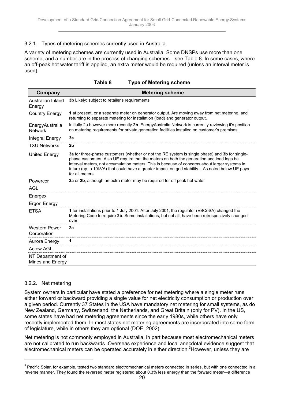#### 3.2.1. Types of metering schemes currently used in Australia

A variety of metering schemes are currently used in Australia. Some DNSPs use more than one scheme, and a number are in the process of changing schemes—see Table 8. In some cases, where an off-peak hot water tariff is applied, an extra meter would be required (unless an interval meter is used).

| Table 8 | <b>Type of Metering scheme</b> |
|---------|--------------------------------|
|---------|--------------------------------|

| Company                              | <b>Metering scheme</b>                                                                                                                                                                                                                                                                                                                                                                                             |
|--------------------------------------|--------------------------------------------------------------------------------------------------------------------------------------------------------------------------------------------------------------------------------------------------------------------------------------------------------------------------------------------------------------------------------------------------------------------|
| Australian Inland<br>Energy          | 3b Likely; subject to retailer's requirements                                                                                                                                                                                                                                                                                                                                                                      |
| <b>Country Energy</b>                | 1 at present, or a separate meter on generator output. Are moving away from net metering, and<br>returning to separate metering for installation (load) and generator output.                                                                                                                                                                                                                                      |
| EnergyAustralia<br><b>Network</b>    | Initially 2a however more recently 2b. EnergyAustralia Network is currently reviewing it's position<br>on metering requirements for private generation facilities installed on customer's premises.                                                                                                                                                                                                                |
| Integral Energy                      | 3a                                                                                                                                                                                                                                                                                                                                                                                                                 |
| <b>TXU Networks</b>                  | 2b                                                                                                                                                                                                                                                                                                                                                                                                                 |
| <b>United Energy</b>                 | 3a for three-phase customers (whether or not the RE system is single phase) and 3b for single-<br>phase customers. Also UE require that the meters on both the generation and load legs be<br>interval meters, not accumulation meters. This is because of concerns about larger systems in<br>future (up to 10kVA) that could have a greater impact on grid stability-. As noted below UE pays<br>for all meters. |
| Powercor<br><b>AGL</b>               | 2a or 2b, although an extra meter may be required for off peak hot water                                                                                                                                                                                                                                                                                                                                           |
| Energex                              |                                                                                                                                                                                                                                                                                                                                                                                                                    |
| Ergon Energy                         |                                                                                                                                                                                                                                                                                                                                                                                                                    |
| <b>ETSA</b>                          | 1 for installations prior to 1 July 2001. After July 2001, the regulator (ESCoSA) changed the<br>Metering Code to require 2b. Some installations, but not all, have been retrospectively changed<br>over.                                                                                                                                                                                                          |
| <b>Western Power</b><br>Corporation  | 2a                                                                                                                                                                                                                                                                                                                                                                                                                 |
| Aurora Energy                        | 1                                                                                                                                                                                                                                                                                                                                                                                                                  |
| <b>Actew AGL</b>                     |                                                                                                                                                                                                                                                                                                                                                                                                                    |
| NT Department of<br>Mines and Energy |                                                                                                                                                                                                                                                                                                                                                                                                                    |

#### 3.2.2. Net metering

 $\overline{a}$ 

System owners in particular have stated a preference for net metering where a single meter runs either forward or backward providing a single value for net electricity consumption or production over a given period. Currently 37 States in the USA have mandatory net metering for small systems, as do New Zealand, Germany, Switzerland, the Netherlands, and Great Britain (only for PV). In the US, some states have had net metering agreements since the early 1980s, while others have only recently implemented them. In most states net metering agreements are incorporated into some form of legislature, while in others they are optional (DOE, 2002).

Net metering is not commonly employed in Australia, in part because most electromechanical meters are not calibrated to run backwards. Overseas experience and local anecdotal evidence suggest that electromechanical meters can be operated accurately in either direction.<sup>3</sup> However, unless they are

 $^3$  Pacific Solar, for example, tested two standard electromechanical meters connected in series, but with one connected in a reverse manner. They found the reversed meter registered about 0.3% less energy than the forward meter—a difference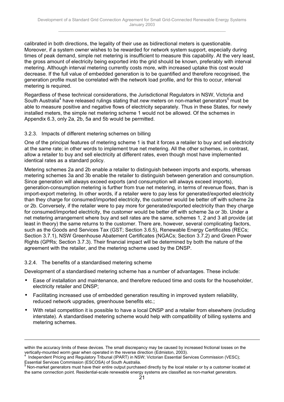calibrated in both directions, the legality of their use as bidirectional meters is questionable. Moreover, if a system owner wishes to be rewarded for network system support, especially during times of peak demand, simple net metering is insufficient to measure this capability. At the very least, the gross amount of electricity being exported into the grid should be known, preferably with interval metering. Although interval metering currently costs more, with increased uptake this cost would decrease. If the full value of embedded generation is to be quantified and therefore recognised, the generation profile must be correlated with the network load profile, and for this to occur, interval metering is required.

Regardless of these technical considerations, the Jurisdictional Regulators in NSW, Victoria and South Australia<sup>4</sup> have released rulings stating that *new* meters on non-market generators<sup>5</sup> must be able to measure positive and negative flows of electricity separately. Thus in these States, for newly installed meters, the simple net metering scheme 1 would not be allowed. Of the schemes in Appendix 6.3, only 2a, 2b, 5a and 5b would be permitted.

#### 3.2.3. Impacts of different metering schemes on billing

One of the principal features of metering scheme 1 is that it forces a retailer to buy and sell electricity at the same rate; in other words to implement true net metering. All the other schemes, in contrast, allow a retailer to buy and sell electricity at different rates, even though most have implemented identical rates as a standard policy.

Metering schemes 2a and 2b enable a retailer to distinguish between imports and exports, whereas metering schemes 3a and 3b enable the retailer to distinguish between generation and consumption. Since generation will always exceed exports (and consumption will always exceed imports), generation-consumption metering is further from true net metering, in terms of revenue flows, than is import-export metering. In other words, if a retailer were to pay less for generated/exported electricity than they charge for consumed/imported electricity, the customer would be better off with scheme 2a or 2b. Conversely, if the retailer were to pay more for generated/exported electricity than they charge for consumed/imported electricity, the customer would be better off with scheme 3a or 3b. Under a net metering arrangement where buy and sell rates are the same, schemes 1, 2 and 3 all provide (at least in theory) the same returns to the customer. There are, however, several complicating factors, such as the Goods and Services Tax (GST; Section 3.6.5), Renewable Energy Certificates (RECs; Section 3.7.1), NSW Greenhouse Abatement Certificates (NGACs; Section 3.7.2) and Green Power Rights (GPRs; Section 3.7.3). Their financial impact will be determined by both the nature of the agreement with the retailer, and the metering scheme used by the DNSP.

#### 3.2.4. The benefits of a standardised metering scheme

 $\overline{a}$ 

Development of a standardised metering scheme has a number of advantages. These include:

- Ease of installation and maintenance, and therefore reduced time and costs for the householder, electricity retailer and DNSP;
- Facilitating increased use of embedded generation resulting in improved system reliability, reduced network upgrades, greenhouse benefits etc.;
- With retail competition it is possible to have a local DNSP and a retailer from elsewhere (including interstate). A standardised metering scheme would help with compatibility of billing systems and metering schemes.

within the accuracy limits of these devices. The small discrepancy may be caused by increased frictional losses on the vertically-mounted worm gear when operated in the reverse direction (Edmiston, 2003).<br><sup>4</sup> Jadenendent Pricing and Pequistan (Tribunal (IDAPT) in NSW: Victorian Ecceptial Se

Independent Pricing and Regulatory Tribunal (IPART) in NSW; Victorian Essential Services Commission (VESC); Essential Services Commission (ESCOSA) of South Australia. 5

Non-market generators must have their entire output purchased directly by the local retailer or by a customer located at the same connection point. Residential-scale renewable energy systems are classified as non-market generators.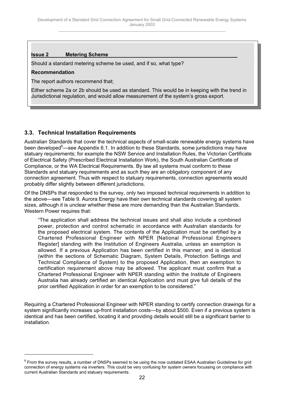### <span id="page-21-0"></span>**Issue 2 Metering Scheme**

Should a standard metering scheme be used, and if so, what type?

#### **Recommendation**

The report authors recommend that;

Either scheme 2a or 2b should be used as standard. This would be in keeping with the trend in Jurisdictional regulation, and would allow measurement of the system's gross export.

## **3.3. Technical Installation Requirements**

Australian Standards that cover the technical aspects of small-scale renewable energy systems have been developed<sup>6</sup>—see Appendix 6.1. In addition to these Standards, some jurisdictions may have statuary requirements; for example the NSW Service and Installation Rules, the Victorian Certificate of Electrical Safety (Prescribed Electrical Installation Work), the South Australian Certificate of Compliance, or the WA Electrical Requirements. By law all systems must conform to these Standards and statuary requirements and as such they are an obligatory component of any connection agreement. Thus with respect to statuary requirements, connection agreements would probably differ slightly between different jurisdictions.

Of the DNSPs that responded to the survey, only two imposed technical requirements in addition to the above—see Table 9. Aurora Energy have their own technical standards covering all system sizes, although it is unclear whether these are more demanding than the Australian Standards. Western Power requires that:

"The application shall address the technical issues and shall also include a combined power, protection and control schematic in accordance with Australian standards for the proposed electrical system. The contents of the Application must be certified by a Chartered Professional Engineer with NPER [National Professional Engineers Register] standing with the Institution of Engineers Australia, unless an exemption is allowed. If a previous Application has been certified in this manner, and is identical (within the sections of Schematic Diagram, System Details, Protection Settings and Technical Compliance of System) to the proposed Application, then an exemption to certification requirement above may be allowed. The applicant must confirm that a Chartered Professional Engineer with NPER standing within the Institute of Engineers Australia has already certified an identical Application and must give full details of the prior certified Application in order for an exemption to be considered."

Requiring a Chartered Professional Engineer with NPER standing to certify connection drawings for a system significantly increases up-front installation costs—by about \$500. Even if a previous system is identical and has been certified, locating it and providing details would still be a significant barrier to installation.

 $^6$  From the survey results, a number of DNSPs seemed to be using the now outdated ESAA Australian Guidelines for grid connection of energy systems via inverters. This could be very confusing for system owners focussing on compliance with current Australian Standards and statuary requirements.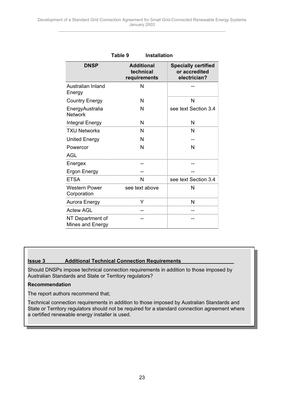|                                      | Table 9<br><b>Installation</b>                 |                                                             |
|--------------------------------------|------------------------------------------------|-------------------------------------------------------------|
| <b>DNSP</b>                          | <b>Additional</b><br>technical<br>requirements | <b>Specially certified</b><br>or accredited<br>electrician? |
| Australian Inland<br>Energy          | N                                              |                                                             |
| <b>Country Energy</b>                | N                                              | N                                                           |
| EnergyAustralia<br><b>Network</b>    | N                                              | see text Section 3.4                                        |
| <b>Integral Energy</b>               | N                                              | N                                                           |
| <b>TXU Networks</b>                  | N                                              | N                                                           |
| <b>United Energy</b>                 | N                                              |                                                             |
| Powercor                             | N                                              | N                                                           |
| <b>AGL</b>                           |                                                |                                                             |
| Energex                              |                                                |                                                             |
| Ergon Energy                         |                                                |                                                             |
| <b>ETSA</b>                          | $\mathsf{N}$                                   | see text Section 3.4                                        |
| Western Power<br>Corporation         | see text above                                 | N                                                           |
| Aurora Energy                        |                                                | N                                                           |
| <b>Actew AGL</b>                     |                                                |                                                             |
| NT Department of<br>Mines and Energy |                                                |                                                             |

## **Issue 3 Additional Technical Connection Requirements**

Should DNSPs impose technical connection requirements in addition to those imposed by Australian Standards and State or Territory regulators?

#### **Recommendation**

The report authors recommend that;

Technical connection requirements in addition to those imposed by Australian Standards and State or Territory regulators should not be required for a standard connection agreement where a certified renewable energy installer is used.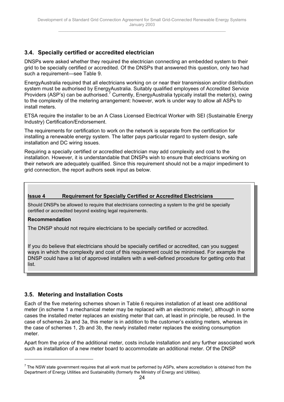## <span id="page-23-0"></span>**3.4. Specially certified or accredited electrician**

DNSPs were asked whether they required the electrician connecting an embedded system to their grid to be specially certified or accredited. Of the DNSPs that answered this question, only two had such a requirement—see Table 9.

EnergyAustralia required that all electricians working on or near their transmission and/or distribution system must be authorised by EnergyAustralia. Suitably qualified employees of Accredited Service Providers (ASP's) can be authorised.<sup>7</sup> Currently, EnergyAustralia typically install the meter(s), owing to the complexity of the metering arrangement: however, work is under way to allow all ASPs to install meters.

ETSA require the installer to be an A Class Licensed Electrical Worker with SEI (Sustainable Energy Industry) Certification/Endorsement.

The requirements for certification to work on the network is separate from the certification for installing a renewable energy system. The latter pays particular regard to system design, safe installation and DC wiring issues.

Requiring a specially certified or accredited electrician may add complexity and cost to the installation. However, it is understandable that DNSPs wish to ensure that electricians working on their network are adequately qualified. Since this requirement should not be a major impediment to grid connection, the report authors seek input as below.

#### **Issue 4 Requirement for Specially Certified or Accredited Electricians**

Should DNSPs be allowed to require that electricians connecting a system to the grid be specially certified or accredited beyond existing legal requirements.

#### **Recommendation**

 $\overline{a}$ 

The DNSP should not require electricians to be specially certified or accredited.

If you do believe that electricians should be specially certified or accredited, can you suggest ways in which the complexity and cost of this requirement could be minimised. For example the DNSP could have a list of approved installers with a well-defined procedure for getting onto that list.

## **3.5. Metering and Installation Costs**

Each of the five metering schemes shown in Table 6 requires installation of at least one additional meter (in scheme 1 a mechanical meter may be replaced with an electronic meter), although in some cases the installed meter replaces an existing meter that can, at least in principle, be reused. In the case of schemes 2a and 3a, this meter is in addition to the customer's existing meters, whereas in the case of schemes 1, 2b and 3b, the newly installed meter replaces the existing consumption meter.

Apart from the price of the additional meter, costs include installation and any further associated work such as installation of a new meter board to accommodate an additional meter. Of the DNSP

 $^7$  The NSW state government requires that all work must be performed by ASPs, where accreditation is obtained from the Department of Energy Utilities and Sustainability (formerly the Ministry of Energy and Utilities).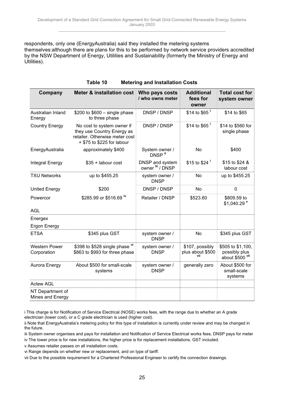respondents, only one (EnergyAustralia) said they installed the metering systems themselves:although there are plans for this to be performed by network service providers accredited by the NSW Department of Energy, Utilities and Sustainability (formerly the Ministry of Energy and Utilities).

| Company                              | <b>Meter &amp; installation cost</b>                                                                                     | Who pays costs<br>/ who owns meter   | <b>Additional</b><br>fees for<br>owner | <b>Total cost for</b><br>system owner                 |
|--------------------------------------|--------------------------------------------------------------------------------------------------------------------------|--------------------------------------|----------------------------------------|-------------------------------------------------------|
| Australian Inland<br>Energy          | \$200 to \$600 - single phase<br>to three phase                                                                          | DNSP / DNSP                          | \$14 to \$65 $^{\rm i}$                | \$14 to \$65                                          |
| <b>Country Energy</b>                | No cost to system owner if<br>they use Country Energy as<br>retailer. Otherwise meter cost<br>+ \$75 to \$225 for labour | DNSP / DNSP                          | \$14 to \$65 $^{\rm i}$                | \$14 to \$560 for<br>single phase                     |
| EnergyAustralia                      | approximately \$400                                                                                                      | System owner /<br>DNSP <sup>ii</sup> | No                                     | \$400                                                 |
| Integral Energy                      | \$35 + labour cost                                                                                                       | DNSP and system<br>owner iii / DNSP  | \$15 to \$24 $^{\circ}$                | \$15 to \$24 &<br>labour cost                         |
| <b>TXU Networks</b>                  | up to \$455.25                                                                                                           | system owner /<br><b>DNSP</b>        | No                                     | up to \$455.25                                        |
| <b>United Energy</b>                 | \$200                                                                                                                    | DNSP / DNSP                          | No                                     | $\mathbf 0$                                           |
| Powercor                             | \$285.99 or \$516.69 iv                                                                                                  | Retailer / DNSP                      | \$523.60                               | \$809.59 to<br>\$1,040.29 V                           |
| <b>AGL</b>                           |                                                                                                                          |                                      |                                        |                                                       |
| Energex<br><b>Ergon Energy</b>       |                                                                                                                          |                                      |                                        |                                                       |
| <b>ETSA</b>                          | \$345 plus GST                                                                                                           | system owner /<br><b>DNSP</b>        | No                                     | \$345 plus GST                                        |
| <b>Western Power</b><br>Corporation  | \$398 to \$528 single phase vi<br>\$863 to \$993 for three phase                                                         | system owner /<br><b>DNSP</b>        | \$107, possibly<br>plus about \$500    | \$505 to \$1,100,<br>possibly plus<br>about \$500 vil |
| Aurora Energy                        | About \$500 for small-scale<br>systems                                                                                   | system owner /<br><b>DNSP</b>        | generally zero                         | About \$500 for<br>small-scale<br>systems             |
| <b>Actew AGL</b>                     |                                                                                                                          |                                      |                                        |                                                       |
| NT Department of<br>Mines and Energy |                                                                                                                          |                                      |                                        |                                                       |

| <b>Metering and Installation Costs</b><br>Table 10 |
|----------------------------------------------------|
|----------------------------------------------------|

v Assumes retailer passes on all installation costs.

vii Due to the possible requirement for a Chartered Professional Engineer to certify the connection drawings.

i This charge is for Notification of Service Electrical (NOSE) works fees, with the range due to whether an A grade electrician (lower cost), or a C grade electrician is used (higher cost).

ii Note that EnergyAustralia's metering policy for this type of installation is currently under review and may be changed in the future.

iii System owner organises and pays for installation and Notification of Service Electrical works fees, DNSP pays for meter

iv The lower price is for new installations, the higher price is for replacement installations. GST included.

vi Range depends on whether new or replacement, and on type of tariff.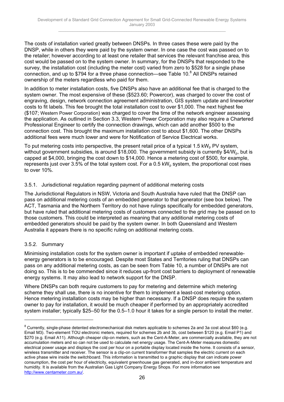The costs of installation varied greatly between DNSPs. In three cases these were paid by the DNSP, while in others they were paid by the system owner. In one case the cost was passed on to the retailer; however according to at least one retailer that services the relevant franchise area, this cost would be passed on to the system owner. In summary, for the DNSPs that responded to the survey, the installation cost (including the meter cost) varied from zero to \$528 for a single phase connection, and up to \$794 for a three phase connection—see Table 10.<sup>8</sup> All DNSPs retained ownership of the meters regardless who paid for them.

In addition to meter installation costs, five DNSPs also have an additional fee that is charged to the system owner. The most expensive of these (\$523.60; Powercor), was charged to cover the cost of engraving, design, network connection agreement administration, GIS system update and lineworker costs to fit labels. This fee brought the total installation cost to over \$1,000. The next highest fee (\$107; Western Power Corporation) was charged to cover the time of the network engineer assessing the application. As outlined in Section 3.3, Western Power Corporation may also require a Chartered Professional Engineer to certify the connection drawings, which can add another \$500 to the connection cost. This brought the maximum installation cost to about \$1,600. The other DNSPs additional fees were much lower and were for Notification of Service Electrical works.

To put metering costs into perspective, the present retail price of a typical 1.5 kW<sub>p</sub> PV system, without government subsidies, is around \$18,000. The government subsidy is currently  $$4/W<sub>0</sub>$ , but is capped at \$4,000, bringing the cost down to \$14,000. Hence a metering cost of \$500, for example, represents just over 3.5% of the total system cost. For a 0.5  $kW<sub>p</sub>$  system, the proportional cost rises to over 10%.

#### 3.5.1. Jurisdictional regulation regarding payment of additional metering costs

The Jurisdictional Regulators in NSW, Victoria and South Australia have ruled that the DNSP can pass on additional metering costs of an embedded generator to that generator (see box below). The ACT, Tasmania and the Northern Territory do not have rulings specifically for embedded generators, but have ruled that additional metering costs of customers connected to the grid may be passed on to those customers. This could be interpreted as meaning that any additional metering costs of embedded generators should be paid by the system owner. In both Queensland and Western Australia it appears there is no specific ruling on additional metering costs.

## 3.5.2. Summary

 $\overline{a}$ 

Minimising installation costs for the system owner is important if uptake of embedded renewableenergy generators is to be encouraged. Despite most States and Territories ruling that DNSPs can pass on any additional metering costs, as can be seen from Table 10, a number of DNSPs are not doing so. This is to be commended since it reduces up-front cost barriers to deployment of renewable energy systems. It may also lead to network support for the DNSP.

Where DNSPs can both require customers to pay for metering and determine which metering scheme they shall use, there is no incentive for them to implement a least-cost metering option. Hence metering installation costs may be higher than necessary. If a DNSP does require the system owner to pay for installation, it would be much cheaper if performed by an appropriately accredited system installer; typically \$25–50 for the 0.5–1.0 hour it takes for a single person to install the meter.

 $^8$  Currently, single-phase detented electromechanical disk meters applicable to schemes 2a and 3a cost about \$60 (e.g. Email M3). Two-element TOU electronic meters, required for schemes 2b and 3b, cost between \$120 (e.g. Email P1) and \$270 (e.g. Email A11). Although cheaper clip-on meters, such as the Cent-A-Meter, are commercially available, they are not accumulation meters and so can not be used to calculate net energy usage. The Cent-A-Meter measures domestic electrical power usage and displays the cost per hour on a portable display located inside the home. It consists of a sensor, wireless transmitter and receiver. The sensor is a clip-on current transformer that samples the electric current on each active phase wire inside the switchboard. This information is transmitted to a graphic display that can indicate power consumption, the cost per hour of electricity, equivalent greenhouse gas generated, and in-door ambient temperature and humidity. It is available from the Australian Gas Light Company Energy Shops. For more information see http://www.centameter.com.au/.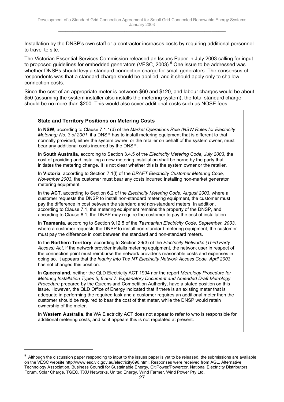Installation by the DNSP's own staff or a contractor increases costs by requiring additional personnel to travel to site.

The Victorian Essential Services Commission released an Issues Paper in July 2003 calling for input to proposed guidelines for embedded generators (VESC, 2003). $^9$  One issue to be addressed was whether DNSPs should levy a standard connection charge for small generators. The consensus of respondents was that a standard charge should be applied, and it should apply only to shallow connection costs.

Since the cost of an appropriate meter is between \$60 and \$120, and labour charges would be about \$50 (assuming the system installer also installs the metering system), the total standard charge should be no more than \$200. This would also cover additional costs such as NOSE fees.

#### **State and Territory Positions on Metering Costs**

 $\overline{a}$ 

In **NSW**, according to Clause 7.1.1(d) of the *Market Operations Rule (NSW Rules for Electricity Metering) No. 3 of 2001*, if a DNSP has to install metering equipment that is different to that normally provided, either the system owner, or the retailer on behalf of the system owner, must bear any additional costs incurred by the DNSP.

In **South Australia**, according to Section 3.4.5 of the *Electricity Metering Code, July 2003*, the cost of providing and installing a new metering installation shall be borne by the party that initiates the metering change. It is not clear whether this is the system owner or the retailer.

In **Victoria**, according to Section 7.1(l) of the *DRAFT Electricity Customer Metering Code, November 2003,* the customer must bear any costs incurred installing non-market generator metering equipment.

In the **ACT**, according to Section 6.2 of the *Electricity Metering Code, August 2003*, where a customer requests the DNSP to install non-standard metering equipment, the customer must pay the difference in cost between the standard and non-standard meters. In addition, according to Clause 7.1, the metering equipment remains the property of the DNSP, and according to Clause 8.1, the DNSP may require the customer to pay the cost of installation.

In **Tasmania**, according to Section 9.12.5 of the *Tasmanian Electricity Code, September, 2003*, where a customer requests the DNSP to install non-standard metering equipment, the customer must pay the difference in cost between the standard and non-standard meters.

In the **Northern Territory**, according to Section 29(3) of the *Electricity Networks (Third Party Access) Act*, if the network provider installs metering equipment, the network user in respect of the connection point must reimburse the network provider's reasonable costs and expenses in doing so. It appears that the *Inquiry Into The NT Electricity Network Access Code, April 2003* has not changed this position.

In **Queensland**, neither the QLD Electricity ACT 1994 nor the report *Metrology Procedure for Metering Installation Types 5, 6 and 7: Explanatory Document and Amended Draft Metrology Procedure* prepared by the Queensland Competition Authority, have a stated position on this issue. However, the QLD Office of Energy indicated that if there is an existing meter that is adequate in performing the required task and a customer requires an additional meter then the customer should be required to bear the cost of that meter, while the DNSP would retain ownership of the meter.

In **Western Australia**, the WA Electricity ACT does not appear to refer to who is responsible for additional metering costs, and so it appears this is not regulated at present.

<sup>9</sup> Although the discussion paper responding to input to the issues paper is yet to be released, the submissions are available on the VESC website http://www.esc.vic.gov.au/electricity696.html. Responses were received from AGL, Alternative Technology Association, Business Council for Sustainable Energy, CitiPower/Powercor, National Electricity Distributors Forum, Solar Charge, TGEC, TXU Networks, United Energy, Wind Farmer, Wind Power Pty Ltd,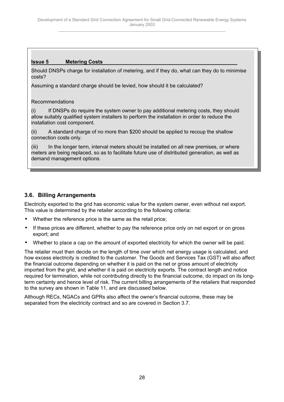## <span id="page-27-0"></span>**Issue 5 Metering Costs**

Should DNSPs charge for installation of metering, and if they do, what can they do to minimise costs?

Assuming a standard charge should be levied, how should it be calculated?

### Recommendations

(i) If DNSPs do require the system owner to pay additional metering costs, they should allow suitably qualified system installers to perform the installation in order to reduce the installation cost component.

(ii) A standard charge of no more than \$200 should be applied to recoup the shallow connection costs only.

(iii) In the longer term, interval meters should be installed on all new premises, or where meters are being replaced, so as to facilitate future use of distributed generation, as well as demand management options.

## **3.6. Billing Arrangements**

Electricity exported to the grid has economic value for the system owner, even without net export. This value is determined by the retailer according to the following criteria:

- Whether the reference price is the same as the retail price;
- If these prices are different, whether to pay the reference price only on net export or on gross export; and
- Whether to place a cap on the amount of exported electricity for which the owner will be paid.

The retailer must then decide on the length of time over which net energy usage is calculated, and how excess electricity is credited to the customer. The Goods and Services Tax (GST) will also affect the financial outcome depending on whether it is paid on the net or gross amount of electricity imported from the grid, and whether it is paid on electricity exports. The contract length and notice required for termination, while not contributing directly to the financial outcome, do impact on its longterm certainty and hence level of risk. The current billing arrangements of the retailers that responded to the survey are shown in Table 11, and are discussed below.

Although RECs, NGACs and GPRs also affect the owner's financial outcome, these may be separated from the electricity contract and so are covered in Section 3.7.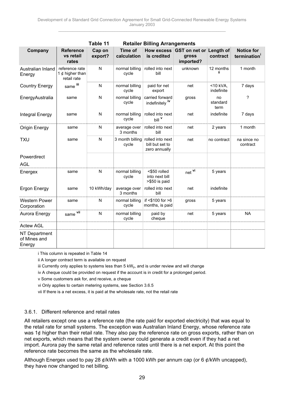|                                         |                                                    | Table 11          |                          | <b>Retailer Billing Arrangements</b>                 |                                                          |                           |                                  |
|-----------------------------------------|----------------------------------------------------|-------------------|--------------------------|------------------------------------------------------|----------------------------------------------------------|---------------------------|----------------------------------|
| Company                                 | <b>Reference</b><br>vs retail<br>rates             | Cap on<br>export? | Time of<br>calculation   | is credited                                          | How excess GST on net or Length of<br>gross<br>imported? | contract                  | <b>Notice for</b><br>termination |
| Australian Inland<br>Energy             | reference rate<br>1 $¢$ higher than<br>retail rate | N                 | normal billing<br>cycle  | rolled into next<br>bill                             | unknown                                                  | 12 months<br>Ϊi           | 1 month                          |
| <b>Country Energy</b>                   | same lil                                           | N                 | normal billing<br>cycle  | paid for net<br>export                               | net                                                      | $<$ 10 kVA.<br>indefinite | 7 days                           |
| EnergyAustralia                         | same                                               | N                 | normal billing<br>cycle  | carried forward<br>indefinitely iv                   | gross                                                    | no<br>standard<br>term    | ?                                |
| Integral Energy                         | same                                               | N                 | normal billing<br>cycle  | rolled into next<br>bill <sup>v</sup>                | net                                                      | indefinite                | 7 days                           |
| <b>Origin Energy</b>                    | same                                               | N                 | average over<br>3 months | rolled into next<br>bill                             | net                                                      | 2 years                   | 1 month                          |
| <b>TXU</b>                              | same                                               | N                 | 3 month billing<br>cycle | rolled into next<br>bill but set to<br>zero annually | net                                                      | no contract               | na since no<br>contract          |
| Powerdirect<br><b>AGL</b>               |                                                    |                   |                          |                                                      |                                                          |                           |                                  |
| Energex                                 | same                                               | N                 | normal billing<br>cycle  | <\$50 rolled<br>into next bill<br>>\$50 is paid      | $net$ <sup>vi</sup>                                      | 5 years                   |                                  |
| <b>Ergon Energy</b>                     | same                                               | 10 kWh/day        | average over<br>3 months | rolled into next<br>bill                             | net                                                      | indefinite                |                                  |
| <b>Western Power</b><br>Corporation     | same                                               | N                 | normal billing<br>cycle  | if $<$ \$100 for $>6$<br>months, is paid             | gross                                                    | 5 years                   |                                  |
| Aurora Energy                           | same vil                                           | N                 | normal billing<br>cycle  | paid by<br>cheque                                    | net                                                      | 5 years                   | <b>NA</b>                        |
| <b>Actew AGL</b>                        |                                                    |                   |                          |                                                      |                                                          |                           |                                  |
| NT Department<br>of Mines and<br>Energy |                                                    |                   |                          |                                                      |                                                          |                           |                                  |

i This column is repeated in Table 14

ii A longer contract term is available on request

iii Currently only applies to systems less than  $5 \text{ kW}_p$ , and is under review and will change

iv A cheque could be provided on request if the account is in credit for a prolonged period.

v Some customers ask for, and receive, a cheque

vi Only applies to certain metering systems, see Section 3.6.5

vii If there is a net excess, it is paid at the wholesale rate, not the retail rate

#### 3.6.1. Different reference and retail rates

All retailers except one use a reference rate (the rate paid for exported electricity) that was equal to the retail rate for small systems. The exception was Australian Inland Energy, whose reference rate was 1¢ higher than their retail rate. They also pay the reference rate on gross exports, rather than on net exports, which means that the system owner could generate a credit even if they had a net import. Aurora pay the same retail and reference rates until there is a net export. At this point the reference rate becomes the same as the wholesale rate.

Although Energex used to pay 28  $\phi$ /kWh with a 1000 kWh per annum cap (or 6  $\phi$ /kWh uncapped), they have now changed to net billing.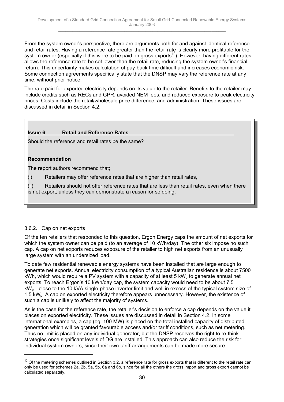From the system owner's perspective, there are arguments both for and against identical reference and retail rates. Having a reference rate greater than the retail rate is clearly more profitable for the system owner (especially if this were to be paid on gross exports<sup>10</sup>). However, having different rates allows the reference rate to be set lower than the retail rate, reducing the system owner's financial return. This uncertainty makes calculation of pay-back time difficult and increases economic risk. Some connection agreements specifically state that the DNSP may vary the reference rate at any time, without prior notice.

The rate paid for exported electricity depends on its value to the retailer. Benefits to the retailer may include credits such as RECs and GPR, avoided NEM fees, and reduced exposure to peak electricity prices. Costs include the retail/wholesale price difference, and administration. These issues are discussed in detail in Section 4.2.

### **Issue 6 Retail and Reference Rates**

Should the reference and retail rates be the same?

#### **Recommendation**

The report authors recommend that;

(i) Retailers may offer reference rates that are higher than retail rates,

(ii) Retailers should not offer reference rates that are less than retail rates, even when there is net export, unless they can demonstrate a reason for so doing.

#### 3.6.2. Cap on net exports

Of the ten retailers that responded to this question, Ergon Energy caps the amount of net exports for which the system owner can be paid (to an average of 10 kWh/day). The other six impose no such cap. A cap on net exports reduces exposure of the retailer to high net exports from an unusually large system with an undersized load.

To date few residential renewable energy systems have been installed that are large enough to generate net exports. Annual electricity consumption of a typical Australian residence is about 7500 kWh, which would require a PV system with a capacity of at least  $5 \text{ kW}_p$  to generate annual net exports. To reach Ergon's 10 kWh/day cap, the system capacity would need to be about 7.5 kW<sub>p</sub>—close to the 10 kVA single-phase inverter limit and well in excess of the typical system size of 1.5 kW<sub>p</sub>. A cap on exported electricity therefore appears unnecessary. However, the existence of such a cap is unlikely to affect the majority of systems.

As is the case for the reference rate, the retailer's decision to enforce a cap depends on the value it places on exported electricity. These issues are discussed in detail in Section 4.2. In some international examples, a cap (eg. 100 MW) is placed on the total installed capacity of distributed generation which will be granted favourable access and/or tariff conditions, such as net metering. Thus no limit is placed on any individual generator, but the DNSP reserves the right to re-think strategies once significant levels of DG are installed. This approach can also reduce the risk for individual system owners, since their own tariff arrangements can be made more secure.

 $10$  Of the metering schemes outlined in Section 3.2, a reference rate for gross exports that is different to the retail rate can only be used for schemes 2a, 2b, 5a, 5b, 6a and 6b, since for all the others the gross import and gross export cannot be calculated separately.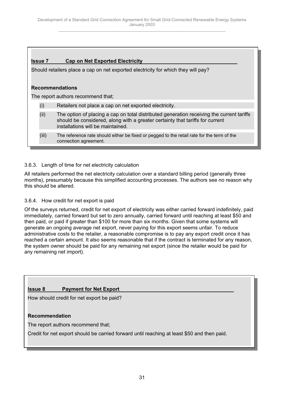### **Issue 7 Cap on Net Exported Electricity**

Should retailers place a cap on net exported electricity for which they will pay?

#### **Recommendations**

The report authors recommend that;

- (i) Retailers not place a cap on net exported electricity.
- (ii) The option of placing a cap on total distributed generation receiving the current tariffs should be considered, along with a greater certainty that tariffs for current installations will be maintained.
- (iii) The reference rate should either be fixed or pegged to the retail rate for the term of the connection agreement.

#### 3.6.3. Length of time for net electricity calculation

All retailers performed the net electricity calculation over a standard billing period (generally three months), presumably because this simplified accounting processes. The authors see no reason why this should be altered.

#### 3.6.4. How credit for net export is paid

Of the surveys returned, credit for net export of electricity was either carried forward indefinitely, paid immediately, carried forward but set to zero annually, carried forward until reaching at least \$50 and then paid, or paid if greater than \$100 for more than six months. Given that some systems will generate an ongoing average net export, never paying for this export seems unfair. To reduce administrative costs to the retailer, a reasonable compromise is to pay any export credit once it has reached a certain amount. It also seems reasonable that if the contract is terminated for any reason, the system owner should be paid for any remaining net export (since the retailer would be paid for any remaining net import).

#### **Issue 8** Payment for Net Export

How should credit for net export be paid?

#### **Recommendation**

The report authors recommend that;

Credit for net export should be carried forward until reaching at least \$50 and then paid.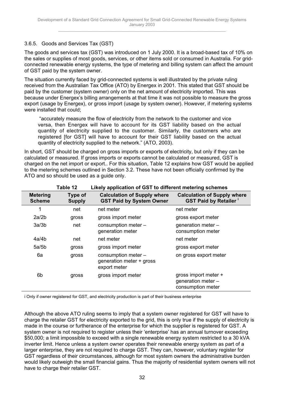### 3.6.5. Goods and Services Tax (GST)

The goods and services tax (GST) was introduced on 1 July 2000. It is a broad-based tax of 10% on the sales or supplies of most goods, services, or other items sold or consumed in Australia. For gridconnected renewable energy systems, the type of metering and billing system can affect the amount of GST paid by the system owner.

The situation currently faced by grid-connected systems is well illustrated by the private ruling received from the Australian Tax Office (ATO) by Energex in 2001. This stated that GST should be paid by the customer (system owner) only on the net amount of electricity imported. This was because under Energex's billing arrangements at that time it was not possible to measure the gross export (usage by Energex), or gross import (usage by system owner). However, if metering systems were installed that could;

 "accurately measure the flow of electricity from the network to the customer and vice versa, then Energex will have to account for its GST liability based on the actual quantity of electricity supplied to the customer. Similarly, the customers who are registered [for GST] will have to account for their GST liability based on the actual quantity of electricity supplied to the network." (ATO, 2003).

In short, GST should be charged on gross imports or exports of electricity, but only if they can be calculated or measured. If gross imports or exports cannot be calculated or measured, GST is charged on the net import or export.. For this situation, Table 12 explains how GST would be applied to the metering schemes outlined in Section 3.2. These have not been officially confirmed by the ATO and so should be used as a guide only.

|                                  | Table 12                 | Likely application of GST to different metering schemes               |                                                                   |  |
|----------------------------------|--------------------------|-----------------------------------------------------------------------|-------------------------------------------------------------------|--|
| <b>Metering</b><br><b>Scheme</b> | Type of<br><b>Supply</b> | <b>Calculation of Supply where</b><br><b>GST Paid by System Owner</b> | <b>Calculation of Supply where</b><br><b>GST Paid by Retailer</b> |  |
| 1                                | net                      | net meter                                                             | net meter                                                         |  |
| 2a/2b                            | gross                    | gross import meter                                                    | gross export meter                                                |  |
| 3a/3b                            | net                      | consumption meter -<br>generation meter                               | generation meter -<br>consumption meter                           |  |
| 4a/4b                            | net                      | net meter                                                             | net meter                                                         |  |
| 5a/5b                            | gross                    | gross import meter                                                    | gross export meter                                                |  |
| 6а                               | gross                    | consumption meter -<br>generation meter + gross<br>export meter       | on gross export meter                                             |  |
| 6b                               | gross                    | gross import meter                                                    | gross import meter +<br>generation meter -<br>consumption meter   |  |

i Only if owner registered for GST, and electricity production is part of their business enterprise

Although the above ATO ruling seems to imply that a system owner registered for GST will have to charge the retailer GST for electricity exported to the grid, this is only true if the supply of electricity is made in the course or furtherance of the enterprise for which the supplier is registered for GST. A system owner is not required to register unless their 'enterprise' has an annual turnover exceeding \$50,000; a limit impossible to exceed with a single renewable energy system restricted to a 30 kVA inverter limit. Hence unless a system owner operates their renewable energy system as part of a larger enterprise, they are not required to charge GST. They can, however, voluntary register for GST regardless of their circumstances, although for most system owners the administrative burden would likely outweigh the small financial gains. Thus the majority of residential system owners will not have to charge their retailer GST.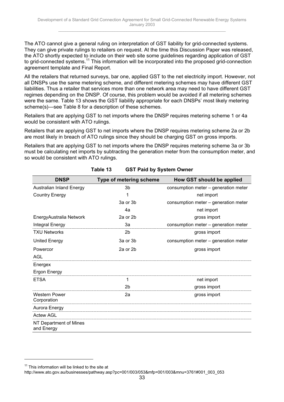The ATO cannot give a general ruling on interpretation of GST liability for grid-connected systems. They can give private rulings to retailers on request. At the time this Discussion Paper was released, the ATO shortly expected to include on their web site some guidelines regarding application of GST to grid-connected systems.<sup>11</sup> This information will be incorporated into the proposed grid-connection agreement template and Final Report.

All the retailers that returned surveys, bar one, applied GST to the net electricity import. However, not all DNSPs use the same metering scheme, and different metering schemes may have different GST liabilities. Thus a retailer that services more than one network area may need to have different GST regimes depending on the DNSP. Of course, this problem would be avoided if all metering schemes were the same. Table 13 shows the GST liability appropriate for each DNSPs' most likely metering scheme(s)—see Table 8 for a description of these schemes.

Retailers that are applying GST to net imports where the DNSP requires metering scheme 1 or 4a would be consistent with ATO rulings.

Retailers that are applying GST to net imports where the DNSP requires metering scheme 2a or 2b are most likely in breach of ATO rulings since they should be charging GST on gross imports.

Retailers that are applying GST to net imports where the DNSP requires metering scheme 3a or 3b must be calculating net imports by subtracting the generation meter from the consumption meter, and so would be consistent with ATO rulings.

| <b>DNSP</b>                          | Type of metering scheme | How GST should be applied            |
|--------------------------------------|-------------------------|--------------------------------------|
| <b>Australian Inland Energy</b>      | 3 <sub>b</sub>          | consumption meter - generation meter |
| <b>Country Energy</b>                | 1                       | net import                           |
|                                      | 3a or 3b                | consumption meter - generation meter |
|                                      | 4a                      | net import                           |
| EnergyAustralia Network              | 2a or 2b                | gross import                         |
| Integral Energy                      | За                      | consumption meter - generation meter |
| <b>TXU Networks</b>                  | 2 <sub>b</sub>          | gross import                         |
| <b>United Energy</b>                 | 3a or 3b                | consumption meter - generation meter |
| Powercor                             | 2a or 2b                | gross import                         |
| <b>AGL</b>                           |                         |                                      |
| Energex                              |                         |                                      |
| Ergon Energy                         |                         |                                      |
| <b>ETSA</b>                          | 1                       | net import                           |
|                                      | 2b                      | gross import                         |
| <b>Western Power</b><br>Corporation  | 2a                      | gross import                         |
| Aurora Energy                        |                         |                                      |
| <b>Actew AGL</b>                     |                         |                                      |
| NT Department of Mines<br>and Energy |                         |                                      |

**Table 13 GST Paid by System Owner**

 $\overline{a}$ 

 $11$  This information will be linked to the site at

http://www.ato.gov.au/businesses/pathway.asp?pc=001/003/053&mfp=001/003&mnu=3761#001\_003\_053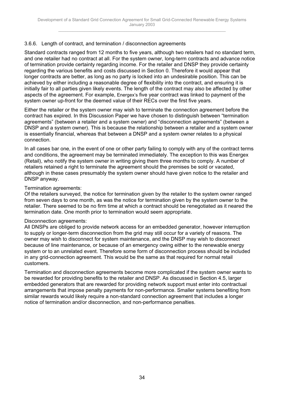#### 3.6.6. Length of contract, and termination / disconnection agreements

Standard contracts ranged from 12 months to five years, although two retailers had no standard term, and one retailer had no contract at all. For the system owner, long-term contracts and advance notice of termination provide certainty regarding income. For the retailer and DNSP they provide certainty regarding the various benefits and costs discussed in Section 0. Therefore it would appear that longer contracts are better, as long as no party is locked into an undesirable position. This can be achieved by either including a reasonable degree of flexibility into the contract, and ensuring it is initially fair to all parties given likely events. The length of the contract may also be affected by other aspects of the agreement. For example, Energex's five year contract was linked to payment of the system owner up-front for the deemed value of their RECs over the first five years.

Either the retailer or the system owner may wish to terminate the connection agreement before the contract has expired. In this Discussion Paper we have chosen to distinguish between "termination agreements" (between a retailer and a system owner) and "disconnection agreements" (between a DNSP and a system owner). This is because the relationship between a retailer and a system owner is essentially financial, whereas that between a DNSP and a system owner relates to a physical connection.

In all cases bar one, in the event of one or other party failing to comply with any of the contract terms and conditions, the agreement may be terminated immediately. The exception to this was Energex (Retail), who notify the system owner in writing giving them three months to comply. A number of retailers retained a right to terminate the agreement should the premises be sold or vacated, although in these cases presumably the system owner should have given notice to the retailer and DNSP anyway.

#### Termination agreements:

Of the retailers surveyed, the notice for termination given by the retailer to the system owner ranged from seven days to one month, as was the notice for termination given by the system owner to the retailer. There seemed to be no firm time at which a contract should be renegotiated as it neared the termination date. One month prior to termination would seem appropriate.

#### Disconnection agreements:

All DNSPs are obliged to provide network access for an embedded generator, however interruption to supply or longer-term disconnection from the grid may still occur for a variety of reasons. The owner may wish to disconnect for system maintenance, and the DNSP may wish to disconnect because of line maintenance, or because of an emergency owing either to the renewable energy system or to an unrelated event. Therefore some form of disconnection process should be included in any grid-connection agreement. This would be the same as that required for normal retail customers.

Termination and disconnection agreements become more complicated if the system owner wants to be rewarded for providing benefits to the retailer and DNSP. As discussed in Section 4.5, larger embedded generators that are rewarded for providing network support must enter into contractual arrangements that impose penalty payments for non-performance. Smaller systems benefiting from similar rewards would likely require a non-standard connection agreement that includes a longer notice of termination and/or disconnection, and non-performance penalties.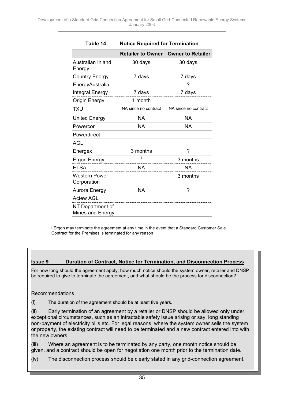| Table 14                             | <b>Notice Required for Termination</b> |                                            |  |  |  |  |
|--------------------------------------|----------------------------------------|--------------------------------------------|--|--|--|--|
|                                      |                                        | <b>Retailer to Owner Owner to Retailer</b> |  |  |  |  |
| Australian Inland<br>Energy          | 30 days                                | 30 days                                    |  |  |  |  |
| <b>Country Energy</b>                | 7 days                                 | 7 days                                     |  |  |  |  |
| EnergyAustralia                      |                                        | ?                                          |  |  |  |  |
| Integral Energy                      | 7 days                                 | 7 days                                     |  |  |  |  |
| <b>Origin Energy</b>                 | 1 month                                |                                            |  |  |  |  |
| TXU                                  | NA since no contract                   | NA since no contract                       |  |  |  |  |
| United Energy                        | <b>NA</b>                              | NA.                                        |  |  |  |  |
| Powercor                             | <b>NA</b>                              | <b>NA</b>                                  |  |  |  |  |
| Powerdirect                          |                                        |                                            |  |  |  |  |
| <b>AGL</b>                           |                                        |                                            |  |  |  |  |
| Energex                              | 3 months                               | ?                                          |  |  |  |  |
| Ergon Energy                         | i.                                     | 3 months                                   |  |  |  |  |
| <b>ETSA</b>                          | <b>NA</b>                              | NA.                                        |  |  |  |  |
| <b>Western Power</b><br>Corporation  |                                        | 3 months                                   |  |  |  |  |
|                                      | Aurora Energy NA                       |                                            |  |  |  |  |
| <b>Actew AGL</b>                     |                                        |                                            |  |  |  |  |
| NT Department of<br>Mines and Energy |                                        |                                            |  |  |  |  |

i Ergon may terminate the agreement at any time in the event that a Standard Customer Sale Contract for the Premises is terminated for any reason

#### **Issue 9 Duration of Contract, Notice for Termination, and Disconnection Process**

For how long should the agreement apply, how much notice should the system owner, retailer and DNSP be required to give to terminate the agreement, and what should be the process for disconnection?

#### Recommendations

(i) The duration of the agreement should be at least five years.

(ii) Early termination of an agreement by a retailer or DNSP should be allowed only under exceptional circumstances, such as an intractable safety issue arising or say, long standing non-payment of electricity bills etc. For legal reasons, where the system owner sells the system or property, the existing contract will need to be terminated and a new contract entered into with the new owners.

(iii) Where an agreement is to be terminated by any party, one month notice should be given, and a contract should be open for negotiation one month prior to the termination date.

(iv) The disconnection process should be clearly stated in any grid-connection agreement.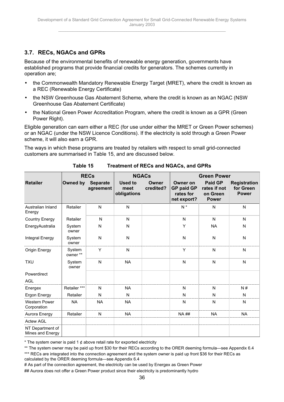## <span id="page-35-0"></span>**3.7. RECs, NGACs and GPRs**

Because of the environmental benefits of renewable energy generation, governments have established programs that provide financial credits for generators. The schemes currently in operation are;

- the Commonwealth Mandatory Renewable Energy Target (MRET), where the credit is known as a REC (Renewable Energy Certificate)
- the NSW Greenhouse Gas Abatement Scheme, where the credit is known as an NGAC (NSW Greenhouse Gas Abatement Certificate)
- the National Green Power Accreditation Program, where the credit is known as a GPR (Green Power Right).

Eligible generation can earn either a REC (for use under either the MRET or Green Power schemes) or an NGAC (under the NSW Licence Conditions). If the electricity is sold through a Green Power scheme, it will also earn a GPR.

The ways in which these programs are treated by retailers with respect to small grid-connected customers are summarised in Table 15, and are discussed below.

|                                      | <b>RECs</b>        |                              | <b>NGACs</b>                          |                    | <b>Green Power</b>                                               |                                                            |                                                  |  |
|--------------------------------------|--------------------|------------------------------|---------------------------------------|--------------------|------------------------------------------------------------------|------------------------------------------------------------|--------------------------------------------------|--|
| <b>Retailer</b>                      | Owned by           | <b>Separate</b><br>agreement | <b>Used to</b><br>meet<br>obligations | Owner<br>credited? | <b>Owner on</b><br><b>GP paid GP</b><br>rates for<br>net export? | <b>Paid GP</b><br>rates if not<br>on Green<br><b>Power</b> | <b>Registration</b><br>for Green<br><b>Power</b> |  |
| Australian Inland<br>Energy          | Retailer           | ${\sf N}$                    | N                                     |                    | $N^*$                                                            | N                                                          | N                                                |  |
| <b>Country Energy</b>                | Retailer           | N                            | N                                     |                    | N                                                                | N                                                          | N                                                |  |
| EnergyAustralia                      | System<br>owner    | N                            | N                                     |                    | Υ                                                                | <b>NA</b>                                                  | N                                                |  |
| Integral Energy                      | System<br>owner    | N                            | N                                     |                    | N                                                                | N                                                          | N                                                |  |
| Origin Energy                        | System<br>owner ** | Y                            | N                                     |                    | Y                                                                | N                                                          | N                                                |  |
| <b>TXU</b>                           | System<br>owner    | N                            | <b>NA</b>                             |                    | N                                                                | N                                                          | N                                                |  |
| Powerdirect                          |                    |                              |                                       |                    |                                                                  |                                                            |                                                  |  |
| <b>AGL</b>                           |                    |                              |                                       |                    |                                                                  |                                                            |                                                  |  |
| Energex                              | Retailer ***       | N                            | <b>NA</b>                             |                    | N                                                                | N                                                          | N#                                               |  |
| Ergon Energy                         | Retailer           | N                            | N                                     |                    | N                                                                | N                                                          | N                                                |  |
| <b>Western Power</b><br>Corporation  | <b>NA</b>          | <b>NA</b>                    | <b>NA</b>                             |                    | N                                                                | N                                                          | N                                                |  |
| Aurora Energy                        | Retailer           | N                            | <b>NA</b>                             |                    | <b>NA##</b>                                                      | <b>NA</b>                                                  | <b>NA</b>                                        |  |
| <b>Actew AGL</b>                     |                    |                              |                                       |                    |                                                                  |                                                            |                                                  |  |
| NT Department of<br>Mines and Energy |                    |                              |                                       |                    |                                                                  |                                                            |                                                  |  |

**Table 15 Treatment of RECs and NGACs, and GPRs**

\* The system owner is paid 1  $\phi$  above retail rate for exported electricity

- # As part of the connection agreement, the electricity can be used by Energex as Green Power
- ## Aurora does not offer a Green Power product since their electricity is predominantly hydro

<sup>\*\*</sup> The system owner may be paid up front \$30 for their RECs according to the ORER deeming formula—see Appendix 6.4 \*\*\* RECs are integrated into the connection agreement and the system owner is paid up front \$36 for their RECs as calculated by the ORER deeming formula—see Appendix 6.4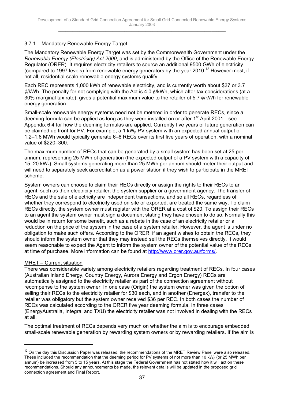### 3.7.1. Mandatory Renewable Energy Target

The Mandatory Renewable Energy Target was set by the Commonwealth Government under the *Renewable Energy (Electricity) Act 2000*, and is administered by the Office of the Renewable Energy Regulator (ORER). It requires electricity retailers to source an additional 9500 GWh of electricity (compared to 1997 levels) from renewable energy generators by the year 2010.<sup>12</sup> However most, if not all, residential-scale renewable energy systems qualify.

Each REC represents 1,000 kWh of renewable electricity, and is currently worth about \$37 or 3.7  $\phi$ /kWh. The penalty for not complying with the Act is 4.0  $\phi$ /kWh, which after tax considerations (at a 30% marginal tax rate), gives a potential maximum value to the retailer of 5.7  $\ell$ /kWh for renewable energy generation.

Small-scale renewable energy systems need not be metered in order to generate RECs, since a deeming formula can be applied as long as they were installed on or after  $1<sup>st</sup>$  April 2001—see Appendix 6.4 for how the deeming formulas are applied. Currently five years of future generation can be claimed up front for PV. For example, a 1 kW<sub>p</sub> PV system with an expected annual output of 1.2–1.6 MWh would typically generate 6–8 RECs over its first five years of operation, with a nominal value of \$220–300.

The maximum number of RECs that can be generated by a small system has been set at 25 per annum, representing 25 MWh of generation (the expected output of a PV system with a capacity of 15–20 kW<sub>p</sub>). Small systems generating more than 25 MWh per annum should meter their output and will need to separately seek accreditation as a power station if they wish to participate in the MRET scheme.

System owners can choose to claim their RECs directly or assign the rights to their RECs to an agent, such as their electricity retailer, the system supplier or a government agency. The transfer of RECs and the sale of electricity are independent transactions, and so all RECs, regardless of whether they correspond to electricity used on site or exported, are treated the same way. To claim RECs directly, the system owner must register with the ORER at a cost of \$20. To assign their RECs to an agent the system owner must sign a document stating they have chosen to do so. Normally this would be in return for some benefit, such as a rebate in the case of an electricity retailer or a reduction on the price of the system in the case of a system retailer. However, the agent is under no obligation to make such offers. According to the ORER, if an agent wishes to obtain the RECs, they should inform the system owner that they may instead sell the RECs themselves directly. It would seem reasonable to expect the Agent to inform the system owner of the potential value of the RECs at time of purchase. More information can be found at http://www.orer.gov.au/forms/.

#### MRET – Current situation

 $\overline{a}$ 

There was considerable variety among electricity retailers regarding treatment of RECs. In four cases (Australian Inland Energy, Country Energy, Aurora Energy and Ergon Energy) RECs are automatically assigned to the electricity retailer as part of the connection agreement without recompense to the system owner. In one case (Origin) the system owner was given the option of selling their RECs to the electricity retailer for \$30 each, and in another (Energex), transfer to the retailer was obligatory but the system owner received \$36 per REC. In both cases the number of RECs was calculated according to the ORER five year deeming formula. In three cases (EnergyAustralia, Integral and TXU) the electricity retailer was not involved in dealing with the RECs at all.

The optimal treatment of RECs depends very much on whether the aim is to encourage embedded small-scale renewable generation by rewarding system owners or by rewarding retailers. If the aim is

 $12$  On the day this Discussion Paper was released, the recommendations of the MRET Review Panel were also released. These included the recommendation that the deeming period for PV systems of not more than 10 kW<sub>p</sub> (or 25 MWh per annum) be increased from 5 to 15 years. At this stage the Federal Government has not stated how it will act on these recommendations. Should any announcements be made, the relevant details will be updated in the proposed grid connection agreement and Final Report.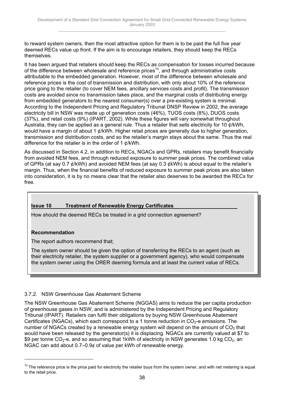to reward system owners, then the most attractive option for them is to be paid the full five year deemed RECs value up front. If the aim is to encourage retailers, they should keep the RECs themselves.

It has been argued that retailers should keep the RECs as compensation for losses incurred because of the difference between wholesale and reference prices<sup>13</sup>, and through administrative costs attributable to the embedded generation. However, most of the difference between wholesale and reference prices is the cost of transmission and distribution, with only about 10% of the reference price going to the retailer (to cover NEM fees, ancillary services costs and profit). The transmission costs are avoided since no transmission takes place, and the marginal costs of distributing energy from embedded generators to the nearest consumer(s) over a pre-existing system is minimal. According to the Independent Pricing and Regulatory Tribunal DNSP Review in 2002, the average electricity bill in NSW was made up of generation costs (46%), TUOS costs (8%), DUOS costs (37%), and retail costs (9%) (IPART, 2002). While these figures will vary somewhat throughout Australia, they can be applied as a general rule. Thus a retailer that sells electricity for 10  $\ell$ /kWh, would have a margin of about 1 ¢/kWh. Higher retail prices are generally due to higher generation, transmission and distribution costs, and so the retailer's margin stays about the same. Thus the real difference for the retailer is in the order of 1  $\rlap{/}t$ /kWh.

As discussed in Section 4.2, in addition to RECs, NGACs and GPRs, retailers may benefit financially from avoided NEM fees, and through reduced exposure to summer peak prices. The combined value of GPRs (at say 0.7 ¢/kWh) and avoided NEM fees (at say 0.3 ¢kWh) is about equal to the retailer's margin. Thus, when the financial benefits of reduced exposure to summer peak prices are also taken into consideration, it is by no means clear that the retailer also deserves to be awarded the RECs for free.

## **Issue 10 Treatment of Renewable Energy Certificates**

How should the deemed RECs be treated in a grid connection agreement?

## **Recommendation**

 $\overline{a}$ 

The report authors recommend that;

The system owner should be given the option of transferring the RECs to an agent (such as their electricity retailer, the system supplier or a government agency), who would compensate the system owner using the ORER deeming formula and at least the current value of RECs.

## 3.7.2. NSW Greenhouse Gas Abatement Scheme

The NSW Greenhouse Gas Abatement Scheme (NGGAS) aims to reduce the per capita production of greenhouse gases in NSW, and is administered by the Independent Pricing and Regulatory Tribunal (IPART). Retailers can fulfil their obligations by buying NSW Greenhouse Abatement Certificates (NGACs), which each correspond to a 1 tonne reduction in  $CO<sub>2</sub>$ -e emissions. The number of NGACs created by a renewable energy system will depend on the amount of  $CO<sub>2</sub>$  that would have been released by the generator(s) it is displacing. NGACs are currently valued at \$7 to \$9 per tonne  $CO_2$ -e, and so assuming that 1kWh of electricity in NSW generates 1.0 kg  $CO_2$ , an NGAC can add about 0.7–0.9¢ of value per kWh of renewable energy.

 $13$  The reference price is the price paid for electricity the retailer buys from the system owner, and with net metering is equal to the retail price.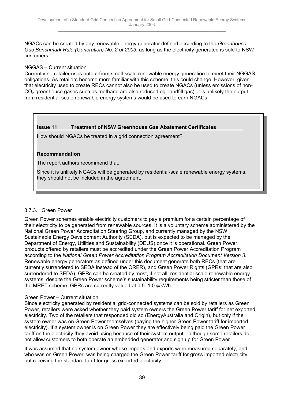NGACs can be created by any renewable energy generator defined according to the *Greenhouse Gas Benchmark Rule (Generation) No. 2 of 2003*, as long as the electricity generated is sold to NSW customers.

#### NGGAS – Current situation

Currently no retailer uses output from small-scale renewable energy generation to meet their NGGAS obligations. As retailers become more familiar with this scheme, this could change. However, given that electricity used to create RECs cannot also be used to create NGACs (unless emissions of non- $CO<sub>2</sub>$  greenhouse gases such as methane are also reduced eg. landfill gas), it is unlikely the output from residential-scale renewable energy systems would be used to earn NGACs.

#### **Issue 11 Treatment of NSW Greenhouse Gas Abatement Certificates**

How should NGACs be treated in a grid connection agreement?

#### **Recommendation**

The report authors recommend that;

Since it is unlikely NGACs will be generated by residential-scale renewable energy systems, they should not be included in the agreement.

#### 3.7.3. Green Power

Green Power schemes enable electricity customers to pay a premium for a certain percentage of their electricity to be generated from renewable sources. It is a voluntary scheme administered by the National Green Power Accreditation Steering Group, and currently managed by the NSW Sustainable Energy Development Authority (SEDA), but is expected to be managed by the Department of Energy, Utilities and Sustainability (DEUS) once it is operational. Green Power products offered by retailers must be accredited under the Green Power Accreditation Program according to the *National Green Power Accreditation Program Accreditation Document Version 3*. Renewable energy generators as defined under this document generate both RECs (that are currently surrendered to SEDA instead of the ORER), and Green Power Rights (GPRs; that are also surrendered to SEDA). GPRs can be created by most, if not all, residential-scale renewable energy systems, despite the Green Power scheme's sustainability requirements being stricter than those of the MRET scheme. GPRs are currently valued at 0.5–1.0 ¢/kWh.

#### Green Power – Current situation

Since electricity generated by residential grid-connected systems can be sold by retailers as Green Power, retailers were asked whether they paid system owners the Green Power tariff for net exported electricity. Two of the retailers that responded did so (EnergyAustralia and Origin), but only if the system owner was on Green Power themselves (paying the higher Green Power tariff for imported electricity). If a system owner is on Green Power they are effectively being paid the Green Power tariff on the electricity they avoid using because of their system output—although some retailers do not allow customers to both operate an embedded generator and sign up for Green Power.

It was assumed that no system owner whose imports and exports were measured separately, and who was on Green Power, was being charged the Green Power tariff for gross imported electricity but receiving the standard tariff for gross exported electricity.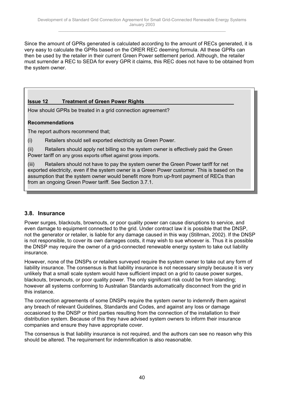<span id="page-39-0"></span>Since the amount of GPRs generated is calculated according to the amount of RECs generated, it is very easy to calculate the GPRs based on the ORER REC deeming formula. All these GPRs can then be used by the retailer in their current Green Power settlement period. Although, the retailer must surrender a REC to SEDA for every GPR it claims, this REC does not have to be obtained from the system owner.

### **Issue 12 Treatment of Green Power Rights**

How should GPRs be treated in a grid connection agreement?

#### **Recommendations**

The report authors recommend that;

(i) Retailers should sell exported electricity as Green Power.

(ii) Retailers should apply net billing so the system owner is effectively paid the Green Power tariff on any gross exports offset against gross imports.

(iii) Retailers should not have to pay the system owner the Green Power tariff for net exported electricity, even if the system owner is a Green Power customer. This is based on the assumption that the system owner would benefit more from up-front payment of RECs than from an ongoing Green Power tariff. See Section 3.7.1.

## **3.8. Insurance**

Power surges, blackouts, brownouts, or poor quality power can cause disruptions to service, and even damage to equipment connected to the grid. Under contract law it is possible that the DNSP, not the generator or retailer, is liable for any damage caused in this way (Stillman, 2002). If the DNSP is not responsible, to cover its own damages costs, it may wish to sue whoever is. Thus it is possible the DNSP may require the owner of a grid-connected renewable energy system to take out liability insurance.

However, none of the DNSPs or retailers surveyed require the system owner to take out any form of liability insurance. The consensus is that liability insurance is not necessary simply because it is very unlikely that a small scale system would have sufficient impact on a grid to cause power surges, blackouts, brownouts, or poor quality power. The only significant risk could be from islanding; however all systems conforming to Australian Standards automatically disconnect from the grid in this instance.

The connection agreements of some DNSPs require the system owner to indemnify them against any breach of relevant Guidelines, Standards and Codes, and against any loss or damage occasioned to the DNSP or third parties resulting from the connection of the installation to their distribution system. Because of this they have advised system owners to inform their insurance companies and ensure they have appropriate cover.

The consensus is that liability insurance is not required, and the authors can see no reason why this should be altered. The requirement for indemnification is also reasonable.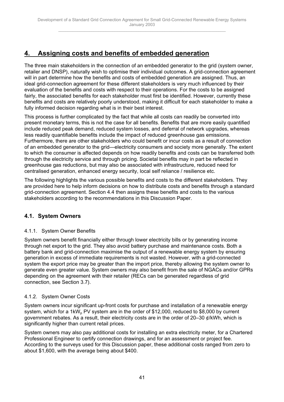## <span id="page-40-0"></span>**4. Assigning costs and benefits of embedded generation**

The three main stakeholders in the connection of an embedded generator to the grid (system owner, retailer and DNSP), naturally wish to optimise their individual outcomes. A grid-connection agreement will in part determine how the benefits and costs of embedded generation are assigned. Thus, an ideal grid-connection agreement for these different stakeholders is very much influenced by their evaluation of the benefits and costs with respect to their operations. For the costs to be assigned fairly, the associated benefits for each stakeholder must first be identified. However, currently these benefits and costs are relatively poorly understood, making it difficult for each stakeholder to make a fully informed decision regarding what is in their best interest.

This process is further complicated by the fact that while all costs can readily be converted into present monetary terms, this is not the case for all benefits. Benefits that are more easily quantified include reduced peak demand, reduced system losses, and deferral of network upgrades, whereas less readily quantifiable benefits include the impact of reduced greenhouse gas emissions. Furthermore, there are other stakeholders who could benefit or incur costs as a result of connection of an embedded generator to the grid—electricity consumers and society more generally. The extent to which the consumer is affected depends on how readily benefits and costs can be transferred both through the electricity service and through pricing. Societal benefits may in part be reflected in greenhouse gas reductions, but may also be associated with infrastructure, reduced need for centralised generation, enhanced energy security, local self reliance / resilience etc.

The following highlights the various possible benefits and costs to the different stakeholders. They are provided here to help inform decisions on how to distribute costs and benefits through a standard grid-connection agreement. Section 4.4 then assigns these benefits and costs to the various stakeholders according to the recommendations in this Discussion Paper.

## **4.1. System Owners**

## 4.1.1. System Owner Benefits

System owners benefit financially either through lower electricity bills or by generating income through net export to the grid. They also avoid battery purchase and maintenance costs. Both a battery bank and grid-connection maximise the output of a renewable energy system by ensuring generation in excess of immediate requirements is not wasted. However, with a grid-connected system the export price may be greater than the import price, thereby allowing the system owner to generate even greater value. System owners may also benefit from the sale of NGACs and/or GPRs depending on the agreement with their retailer (RECs can be generated regardless of grid connection, see Section 3.7).

## 4.1.2. System Owner Costs

System owners incur significant up-front costs for purchase and installation of a renewable energy system, which for a 1kW<sub>p</sub> PV system are in the order of \$12,000, reduced to \$8,000 by current government rebates. As a result, their electricity costs are in the order of  $20-30$   $\ell$ /kWh, which is significantly higher than current retail prices.

System owners may also pay additional costs for installing an extra electricity meter, for a Chartered Professional Engineer to certify connection drawings, and for an assessment or project fee. According to the surveys used for this Discussion paper, these additional costs ranged from zero to about \$1,600, with the average being about \$400.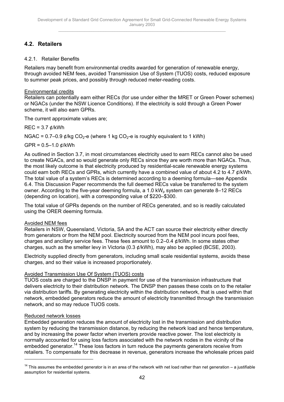## <span id="page-41-0"></span>**4.2. Retailers**

### 4.2.1. Retailer Benefits

Retailers may benefit from environmental credits awarded for generation of renewable energy, through avoided NEM fees, avoided Transmission Use of System (TUOS) costs, reduced exposure to summer peak prices, and possibly through reduced meter-reading costs.

### Environmental credits

Retailers can potentially earn either RECs (for use under either the MRET or Green Power schemes) or NGACs (under the NSW Licence Conditions). If the electricity is sold through a Green Power scheme, it will also earn GPRs.

The current approximate values are;

 $REC = 3.7$   $\ell$ /kWh

NGAC =  $0.7$ –0.9  $\phi$ /kg CO<sub>2</sub>-e (where 1 kg CO<sub>2</sub>-e is roughly equivalent to 1 kWh)

 $GPR = 0.5 - 1.0$  ¢/kWh

As outlined in Section 3.7, in most circumstances electricity used to earn RECs cannot also be used to create NGACs, and so would generate only RECs since they are worth more than NGACs. Thus, the most likely outcome is that electricity produced by residential-scale renewable energy systems could earn both RECs and GPRs, which currently have a combined value of about 4.2 to 4.7 ¢/kWh. The total value of a system's RECs is determined according to a deeming formula—see Appendix 6.4. This Discussion Paper recommends the full deemed RECs value be transferred to the system owner. According to the five-year deeming formula, a 1.0 kW<sub>p</sub> system can generate 8–12 RECs (depending on location), with a corresponding value of \$220–\$300.

The total value of GPRs depends on the number of RECs generated, and so is readily calculated using the ORER deeming formula.

#### Avoided NEM fees

Retailers in NSW, Queensland, Victoria, SA and the ACT can source their electricity either directly from generators or from the NEM pool. Electricity sourced from the NEM pool incurs pool fees, charges and ancillary service fees. These fees amount to 0.2–0.4 ¢/kWh. In some states other charges, such as the smelter levy in Victoria (0.3 ¢/kWh), may also be applied (BCSE, 2003).

Electricity supplied directly from generators, including small scale residential systems, avoids these charges, and so their value is increased proportionately.

#### Avoided Transmission Use Of System (TUOS) costs

TUOS costs are charged to the DNSP in payment for use of the transmission infrastructure that delivers electricity to their distribution network. The DNSP then passes these costs on to the retailer via distribution tariffs. By generating electricity within the distribution network, that is used within that network, embedded generators reduce the amount of electricity transmitted through the transmission network, and so may reduce TUOS costs.

#### Reduced network losses

 $\overline{a}$ 

Embedded generation reduces the amount of electricity lost in the transmission and distribution system by reducing the transmission distance, by reducing the network load and hence temperature, and by increasing the power factor when inverters provide reactive power. The lost electricity is normally accounted for using loss factors associated with the network nodes in the vicinity of the embedded generator.<sup>14</sup> These loss factors in turn reduce the payments generators receive from retailers. To compensate for this decrease in revenue, generators increase the wholesale prices paid

 $14$  This assumes the embedded generator is in an area of the network with net load rather than net generation – a justifiable assumption for residential systems.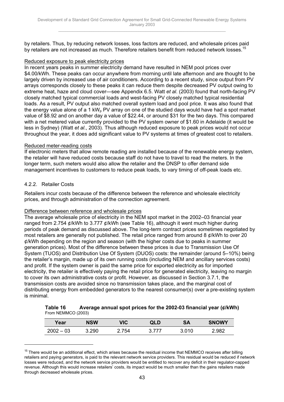by retailers. Thus, by reducing network losses, loss factors are reduced, and wholesale prices paid by retailers are not increased as much. Therefore retailers benefit from reduced network losses.<sup>15</sup>

#### Reduced exposure to peak electricity prices

In recent years peaks in summer electricity demand have resulted in NEM pool prices over \$4.00/kWh. These peaks can occur anywhere from morning until late afternoon and are thought to be largely driven by increased use of air conditioners. According to a recent study, since output from PV arrays corresponds closely to these peaks it can reduce them despite decreased PV output owing to extreme heat, haze and cloud cover—see Appendix 6.5. Watt *et al*. (2003) found that north-facing PV closely matched typical commercial loads and west-facing PV closely matched typical residential loads. As a result, PV output also matched overall system load and pool price. It was also found that the energy value alone of a 1 kW<sub>n</sub> PV array on one of the studied days would have had a spot market value of \$8.92 and on another day a value of \$22.44, or around \$31 for the two days. This compared with a net metered value currently provided to the PV system owner of \$1.60 in Adelaide (it would be less in Sydney) (Watt *et al*., 2003). Thus although reduced exposure to peak prices would not occur throughout the year, it does add significant value to PV systems at times of greatest cost to retailers.

#### Reduced meter-reading costs

If electronic meters that allow remote reading are installed because of the renewable energy system, the retailer will have reduced costs because staff do not have to travel to read the meters. In the longer term, such meters would also allow the retailer and the DNSP to offer demand side management incentives to customers to reduce peak loads, to vary timing of off-peak loads etc.

#### 4.2.2. Retailer Costs

 $\overline{a}$ 

Retailers incur costs because of the difference between the reference and wholesale electricity prices, and through administration of the connection agreement.

#### Difference between reference and wholesale prices

The average wholesale price of electricity in the NEM spot market in the 2002–03 financial year ranged from 2.754 ¢/kWh to 3.777 ¢/kWh (see Table 16), although it went much higher during periods of peak demand as discussed above. The long-term contract prices sometimes negotiated by most retailers are generally not published. The retail price ranged from around 8 ¢/kWh to over 20 ¢/kWh depending on the region and season (with the higher costs due to peaks in summer generation prices). Most of the difference between these prices is due to Transmission Use Of System (TUOS) and Distribution Use Of System (DUOS) costs: the remainder (around 5–10%) being the retailer's margin, made up of its own running costs (including NEM and ancillary services costs) and profit. If the system owner is paid the same price for exported electricity as for imported electricity, the retailer is effectively paying the retail price for generated electricity, leaving no margin to cover its own administrative costs or profit. However, as discussed in Section 3.7.1, the transmission costs are avoided since no transmission takes place, and the marginal cost of distributing energy from embedded generators to the nearest consumer(s) over a pre-existing system is minimal.

| Table 16           | Average annual spot prices for the 2002-03 financial year (¢/kWh) |
|--------------------|-------------------------------------------------------------------|
| From NEMMCO (2003) |                                                                   |

| Year        | <b>NSW</b> | VIC | QLD   | <b>SA</b> | <b>SNOWY</b> |
|-------------|------------|-----|-------|-----------|--------------|
| $2002 - 03$ | 3.290      | 754 | 2 777 | 3.010     | 2.982        |

 $15$  There would be an additional effect, which arises because the residual income that NEMMCO receives after billing retailers and paying generators, is paid to the relevant network service providers. This residual would be reduced if network losses were reduced, and the network service providers would be entitled to recover any deficit in their regulator-capped revenue. Although this would increase retailers' costs, its impact would be much smaller than the gains retailers made through decreased wholesale prices.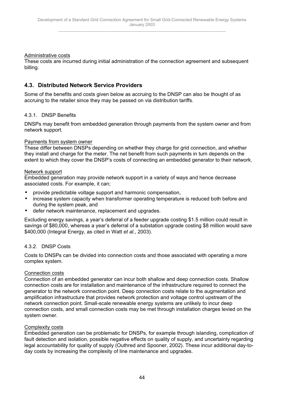#### <span id="page-43-0"></span>Administrative costs

These costs are incurred during initial administration of the connection agreement and subsequent billing.

## **4.3. Distributed Network Service Providers**

Some of the benefits and costs given below as accruing to the DNSP can also be thought of as accruing to the retailer since they may be passed on via distribution tariffs.

#### 4.3.1. DNSP Benefits

DNSPs may benefit from embedded generation through payments from the system owner and from network support.

#### Payments from system owner

These differ between DNSPs depending on whether they charge for grid connection, and whether they install and charge for the meter. The net benefit from such payments in turn depends on the extent to which they cover the DNSP's costs of connecting an embedded generator to their network.

#### Network support

Embedded generation may provide network support in a variety of ways and hence decrease associated costs. For example, it can;

- provide predictable voltage support and harmonic compensation,
- increase system capacity when transformer operating temperature is reduced both before and during the system peak, and
- defer network maintenance, replacement and upgrades.

Excluding energy savings, a year's deferral of a feeder upgrade costing \$1.5 million could result in savings of \$80,000, whereas a year's deferral of a substation upgrade costing \$8 million would save \$400,000 (Integral Energy, as cited in Watt *et al*., 2003).

#### 4.3.2. DNSP Costs

Costs to DNSPs can be divided into connection costs and those associated with operating a more complex system.

#### Connection costs

Connection of an embedded generator can incur both shallow and deep connection costs. Shallow connection costs are for installation and maintenance of the infrastructure required to connect the generator to the network connection point. Deep connection costs relate to the augmentation and amplification infrastructure that provides network protection and voltage control upstream of the network connection point. Small-scale renewable energy systems are unlikely to incur deep connection costs, and small connection costs may be met through installation charges levied on the system owner.

#### Complexity costs

Embedded generation can be problematic for DNSPs, for example through islanding, complication of fault detection and isolation, possible negative effects on quality of supply, and uncertainty regarding legal accountability for quality of supply (Outhred and Spooner, 2002). These incur additional day-today costs by increasing the complexity of line maintenance and upgrades.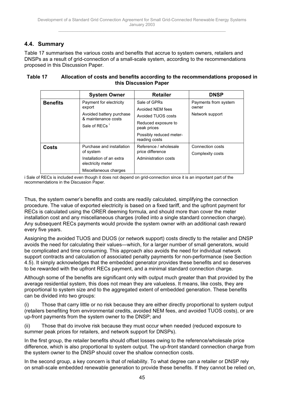## <span id="page-44-0"></span>**4.4. Summary**

Table 17 summarises the various costs and benefits that accrue to system owners, retailers and DNSPs as a result of grid-connection of a small-scale system, according to the recommendations proposed in this Discussion Paper.

| Table 17 | Allocation of costs and benefits according to the recommendations proposed in |
|----------|-------------------------------------------------------------------------------|
|          | this Discussion Paper                                                         |

|                 | <b>System Owner</b>                                                                                               | <b>Retailer</b>                                                                                                                          | <b>DNSP</b>                                      |
|-----------------|-------------------------------------------------------------------------------------------------------------------|------------------------------------------------------------------------------------------------------------------------------------------|--------------------------------------------------|
| <b>Benefits</b> | Payment for electricity<br>export<br>Avoided battery purchase<br>& maintenance costs<br>Sale of RECs <sup>1</sup> | Sale of GPRs<br>Avoided NEM fees<br>Avoided TUOS costs<br>Reduced exposure to<br>peak prices<br>Possibly reduced meter-<br>reading costs | Payments from system<br>owner<br>Network support |
| Costs           | Purchase and installation<br>of system<br>Installation of an extra<br>electricity meter<br>Miscellaneous charges  | Reference / wholesale<br>price difference<br>Administration costs                                                                        | Connection costs<br>Complexity costs             |

i Sale of RECs is included even though it does not depend on grid-connection since it is an important part of the recommendations in the Discussion Paper.

Thus, the system owner's benefits and costs are readily calculated, simplifying the connection procedure. The value of exported electricity is based on a fixed tariff, and the upfront payment for RECs is calculated using the ORER deeming formula, and should more than cover the meter installation cost and any miscellaneous charges (rolled into a single standard connection charge). Any subsequent RECs payments would provide the system owner with an additional cash reward every five years.

Assigning the avoided TUOS and DUOS (or network support) costs directly to the retailer and DNSP avoids the need for calculating their values—which, for a larger number of small generators, would be complicated and time consuming. This approach also avoids the need for individual network support contracts and calculation of associated penalty payments for non-performance (see Section 4.5). It simply acknowledges that the embedded generator provides these benefits and so deserves to be rewarded with the upfront RECs payment, and a minimal standard connection charge.

Although some of the benefits are significant only with output much greater than that provided by the average residential system, this does not mean they are valueless. It means, like costs, they are proportional to system size and to the aggregated extent of embedded generation. These benefits can be divided into two groups:

(i) Those that carry little or no risk because they are either directly proportional to system output (retailers benefiting from environmental credits, avoided NEM fees, and avoided TUOS costs), or are up-front payments from the system owner to the DNSP; and

(ii) Those that do involve risk because they must occur when needed (reduced exposure to summer peak prices for retailers, and network support for DNSPs).

In the first group, the retailer benefits should offset losses owing to the reference/wholesale price difference, which is also proportional to system output. The up-front standard connection charge from the system owner to the DNSP should cover the shallow connection costs.

In the second group, a key concern is that of reliability. To what degree can a retailer or DNSP rely on small-scale embedded renewable generation to provide these benefits. If they cannot be relied on,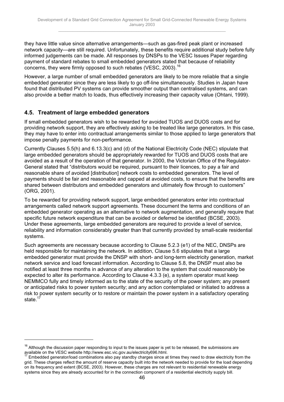<span id="page-45-0"></span>they have little value since alternative arrangements—such as gas-fired peak plant or increased network capacity—are still required. Unfortunately, these benefits require additional study before fully informed judgements can be made. All responses by DNSPs to the VESC Issues Paper regarding payment of standard rebates to small embedded generators stated that because of reliability concerns, they were firmly opposed to such rebates (VESC, 2003).<sup>16</sup>

However, a large number of small embedded generators are likely to be more reliable that a single embedded generator since they are less likely to go off-line simultaneously. Studies in Japan have found that distributed PV systems can provide smoother output than centralised systems, and can also provide a better match to loads, thus effectively increasing their capacity value (Ohtani, 1999).

## **4.5. Treatment of large embedded generators**

 $\overline{a}$ 

If small embedded generators wish to be rewarded for avoided TUOS and DUOS costs and for providing network support, they are effectively asking to be treated like large generators. In this case, they may have to enter into contractual arrangements similar to those applied to large generators that impose penalty payments for non-performance.

Currently Clauses 5.5(h) and 6.13.3(c) and (d) of the National Electricity Code (NEC) stipulate that large embedded generators should be appropriately rewarded for TUOS and DUOS costs that are avoided as a result of the operation of that generator. In 2000, the Victorian Office of the Regulator-General stated that "distributors would be required, pursuant to their licences, to pay a fair and reasonable share of avoided [distribution] network costs to embedded generators. The level of payments should be fair and reasonable and capped at avoided costs, to ensure that the benefits are shared between distributors and embedded generators and ultimately flow through to customers" (ORG, 2001).

To be rewarded for providing network support, large embedded generators enter into contractual arrangements called network support agreements. These document the terms and conditions of an embedded generator operating as an alternative to network augmentation, and generally require that specific future network expenditure that can be avoided or deferred be identified (BCSE, 2003). Under these agreements, large embedded generators are required to provide a level of service, reliability and information considerably greater than that currently provided by small-scale residential systems.

Such agreements are necessary because according to Clause 5.2.3 (e1) of the NEC, DNSPs are held responsible for maintaining the network. In addition, Clause 5.6 stipulates that a large embedded generator must provide the DNSP with short- and long-term electricity generation, market network service and load forecast information. According to Clause 5.8, the DNSP must also be notified at least three months in advance of any alteration to the system that could reasonably be expected to alter its performance. According to Clause 4.3.3 (e), a system operator must keep NEMMCO fully and timely informed as to the state of the security of the power system; any present or anticipated risks to power system security; and any action contemplated or initiated to address a risk to power system security or to restore or maintain the power system in a satisfactory operating state.<sup>1</sup>

 $16$  Although the discussion paper responding to input to the issues paper is yet to be released, the submissions are available on the VESC website http://www.esc.vic.gov.au/electricity696.html.

Embedded generator/load combinations also pay standby charges since at times they need to draw electricity from the grid. These charges reflect the amount of reserve capacity built into the network needed to provide for the load depending on its frequency and extent (BCSE, 2003). However, these charges are not relevant to residential renewable energy systems since they are already accounted for in the connection component of a residential electricity supply bill.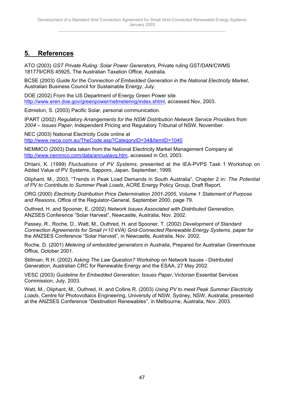## <span id="page-46-0"></span>**5. References**

ATO (2003) *GST Private Ruling: Solar Power Generators*, Private ruling GST/DAN/CWMS 181779/CRS 45925, The Australian Taxation Office, Australia.

BCSE (2003) *Guide for the Connection of Embedded Generation in the National Electricity Market*, Australian Business Council for Sustainable Energy, July.

DOE (2002) From the US Department of Energy Green Power site http://www.eren.doe.gov/greenpower/netmetering/index.shtml, accessed Nov, 2003.

Edmiston, S. (2003) Pacific Solar, personal communication.

IPART (2002) *Regulatory Arrangements for the NSW Distribution Network Service Providers from 2004 – Issues Paper*, Independent Pricing and Regulatory Tribunal of NSW, November.

NEC (2003) National Electricity Code online at http://www.neca.com.au/TheCode.asp?CategoryID=34&ItemID=1040

NEMMCO (2003) Data taken from the National Electricity Market Management Company at http://www.nemmco.com/data/annualavg.htm, accessed in Oct, 2003.

Ohtani, K. (1999) *Fluctuations of PV Systems*, presented at the IEA-PVPS Task 1 Workshop on Added Value of PV Systems, Sapporo, Japan, September, 1999.

Oliphant, M., 2003, "Trends in Peak Load Demands in South Australia", Chapter 2 in: *The Potential of PV to Contribute to Summer Peak Loads*, ACRE Energy Policy Group, Draft Report.

ORG (2000) *Electricity Distribution Price Determination 2001-2005, Volume 1 Statement of Purpose and Reasons*, Office of the Regulator-General, September 2000, page 79.

Outhred, H. and Spooner, E. (2002) *Network Issues Associated with Distributed Generation*, ANZSES Conference "Solar Harvest", Newcastle, Australia, Nov. 2002.

Passey, R., Roche, D., Watt, M., Outhred, H. and Spooner, T. (2002) *Development of Standard Connection Agreements for Small (<10 kVA) Grid-Connected Renewable Energy Systems*, paper for the ANZSES Conference "Solar Harvest", in Newcastle, Australia, Nov. 2002.

Roche, D. (2001) *Metering of embedded generators in Australia*, Prepared for Australian Greenhouse Office, October 2001.

Stillman, R.H. (2002) *Asking The Law Question?* Workshop on Network Issues - Distributed Generation, Australian CRC for Renewable Energy and the ESAA, 27 May 2002.

VESC (2003) *Guideline for Embedded Generation: Issues Paper*, Victorian Essential Services Commission, July, 2003.

Watt, M., Oliphant, M., Outhred, H. and Collins R. (2003) *Using PV to meet Peak Summer Electricity Loads*, Centre for Photovoltaics Engineering, University of NSW, Sydney, NSW, Australia; presented at the ANZSES Conference "Destination Renewables", in Melbourne, Australia, Nov. 2003.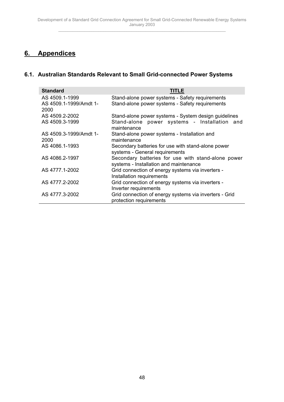## <span id="page-47-0"></span>**6. Appendices**

## **6.1. Australian Standards Relevant to Small Grid-connected Power Systems**

| <b>Standard</b>                                  | <b>TITLE</b>                                                                                       |
|--------------------------------------------------|----------------------------------------------------------------------------------------------------|
| AS 4509.1-1999<br>AS 4509.1-1999/Amdt 1-<br>2000 | Stand-alone power systems - Safety requirements<br>Stand-alone power systems - Safety requirements |
| AS 4509.2-2002                                   | Stand-alone power systems - System design guidelines                                               |
| AS 4509.3-1999                                   | Stand-alone power systems - Installation and<br>maintenance                                        |
| AS 4509.3-1999/Amdt 1-                           | Stand-alone power systems - Installation and                                                       |
| 2000                                             | maintenance                                                                                        |
| AS 4086.1-1993                                   | Secondary batteries for use with stand-alone power<br>systems - General requirements               |
| AS 4086.2-1997                                   | Secondary batteries for use with stand-alone power<br>systems - Installation and maintenance       |
| AS 4777.1-2002                                   | Grid connection of energy systems via inverters -<br>Installation requirements                     |
| AS 4777.2-2002                                   | Grid connection of energy systems via inverters -<br>Inverter requirements                         |
| AS 4777.3-2002                                   | Grid connection of energy systems via inverters - Grid<br>protection requirements                  |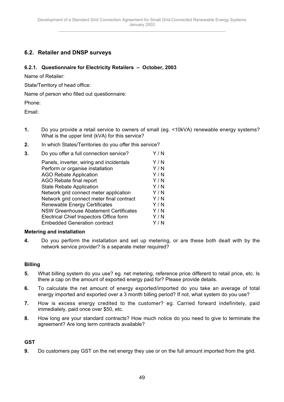## <span id="page-48-0"></span>**6.2. Retailer and DNSP surveys**

#### **6.2.1. Questionnaire for Electricity Retailers – October, 2003**

Name of Retailer:

State/Territory of head office:

Name of person who filled out questionnaire:

Phone:

Email:

- **1.** Do you provide a retail service to owners of small (eg. <10kVA) renewable energy systems? What is the upper limit (kVA) for this service?
- **2.** In which States/Territories do you offer this service?

| Do you offer a full connection service?      | Y / N |
|----------------------------------------------|-------|
| Panels, inverter, wiring and incidentals     | Y/N   |
| Perform or organise installation             | Y/N   |
| <b>AGO Rebate Application</b>                | Y/N   |
| AGO Rebate final report                      | Y/N   |
| <b>State Rebate Application</b>              | Y/N   |
| Network grid connect meter application       | Y/N   |
| Network grid connect meter final contract    | Y/N   |
| <b>Renewable Energy Certificates</b>         | Y/N   |
| <b>NSW Greenhouse Abatement Certificates</b> | Y / N |
| Electrical Chief Inspectors Office form      | Y/N   |
| <b>Embedded Generation contract</b>          | Y / N |
|                                              |       |

#### **Metering and installation**

**4.** Do you perform the installation and set up metering, or are these both dealt with by the network service provider? Is a separate meter required?

#### **Billing**

- **5.** What billing system do you use? eg. net metering, reference price different to retail price, etc. Is there a cap on the amount of exported energy paid for? Please provide details.
- **6.** To calculate the net amount of energy exported/imported do you take an average of total energy imported and exported over a 3 month billing period? If not, what system do you use?
- **7.** How is excess energy credited to the customer? eg. Carried forward indefinitely, paid immediately, paid once over \$50, etc.
- **8.** How long are your standard contracts? How much notice do you need to give to terminate the agreement? Are long term contracts available?

#### **GST**

**9.** Do customers pay GST on the net energy they use or on the full amount imported from the grid.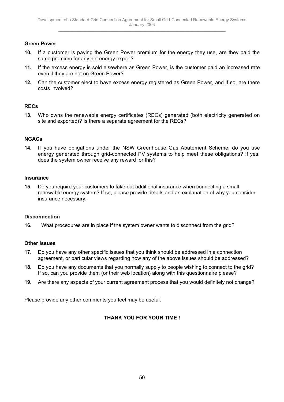#### **Green Power**

- **10.** If a customer is paying the Green Power premium for the energy they use, are they paid the same premium for any net energy export?
- **11.** If the excess energy is sold elsewhere as Green Power, is the customer paid an increased rate even if they are not on Green Power?
- **12.** Can the customer elect to have excess energy registered as Green Power, and if so, are there costs involved?

### **RECs**

**13.** Who owns the renewable energy certificates (RECs) generated (both electricity generated on site and exported)? Is there a separate agreement for the RECs?

### **NGACs**

**14.** If you have obligations under the NSW Greenhouse Gas Abatement Scheme, do you use energy generated through grid-connected PV systems to help meet these obligations? If yes, does the system owner receive any reward for this?

#### **Insurance**

**15.** Do you require your customers to take out additional insurance when connecting a small renewable energy system? If so, please provide details and an explanation of why you consider insurance necessary.

#### **Disconnection**

**16.** What procedures are in place if the system owner wants to disconnect from the grid?

#### **Other Issues**

- **17.** Do you have any other specific issues that you think should be addressed in a connection agreement, or particular views regarding how any of the above issues should be addressed?
- **18.** Do you have any documents that you normally supply to people wishing to connect to the grid? If so, can you provide them (or their web location) along with this questionnaire please?
- **19.** Are there any aspects of your current agreement process that you would definitely not change?

Please provide any other comments you feel may be useful.

## **THANK YOU FOR YOUR TIME !**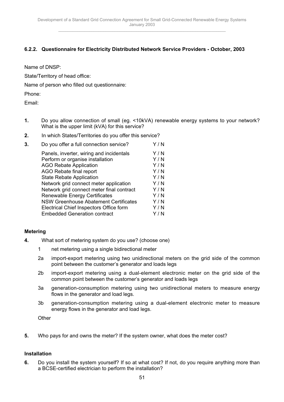## **6.2.2. Questionnaire for Electricity Distributed Network Service Providers - October, 2003**

Name of DNSP:

State/Territory of head office:

Name of person who filled out questionnaire:

Phone:

Email:

- **1.** Do you allow connection of small (eg. <10kVA) renewable energy systems to your network? What is the upper limit (kVA) for this service?
- **2.** In which States/Territories do you offer this service?

| 3. | Do you offer a full connection service?      | Y/N   |
|----|----------------------------------------------|-------|
|    | Panels, inverter, wiring and incidentals     | Y/N   |
|    | Perform or organise installation             | Y/N   |
|    | <b>AGO Rebate Application</b>                | Y/N   |
|    | AGO Rebate final report                      | Y/N   |
|    | <b>State Rebate Application</b>              | Y/N   |
|    | Network grid connect meter application       | Y/N   |
|    | Network grid connect meter final contract    | Y/N   |
|    | <b>Renewable Energy Certificates</b>         | Y/N   |
|    | <b>NSW Greenhouse Abatement Certificates</b> | Y/N   |
|    | Electrical Chief Inspectors Office form      | Y/N   |
|    | <b>Embedded Generation contract</b>          | Y / N |
|    |                                              |       |

## **Metering**

- **4.** What sort of metering system do you use? (choose one)
	- 1 net metering using a single bidirectional meter
	- 2a import-export metering using two unidirectional meters on the grid side of the common point between the customer's generator and loads legs
	- 2b import-export metering using a dual-element electronic meter on the grid side of the common point between the customer's generator and loads legs
	- 3a generation-consumption metering using two unidirectional meters to measure energy flows in the generator and load legs.
	- 3b generation-consumption metering using a dual-element electronic meter to measure energy flows in the generator and load legs.

**Other** 

**5.** Who pays for and owns the meter? If the system owner, what does the meter cost?

#### **Installation**

**6.** Do you install the system yourself? If so at what cost? If not, do you require anything more than a BCSE-certified electrician to perform the installation?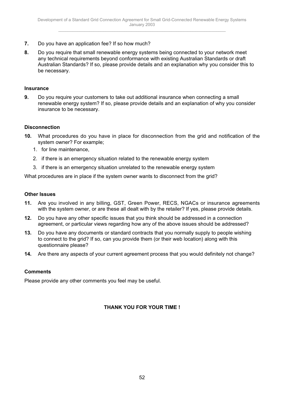- **7.** Do you have an application fee? If so how much?
- **8.** Do you require that small renewable energy systems being connected to your network meet any technical requirements beyond conformance with existing Australian Standards or draft Australian Standards? If so, please provide details and an explanation why you consider this to be necessary.

#### **Insurance**

**9.** Do you require your customers to take out additional insurance when connecting a small renewable energy system? If so, please provide details and an explanation of why you consider insurance to be necessary.

#### **Disconnection**

- **10.** What procedures do you have in place for disconnection from the grid and notification of the system owner? For example;
	- 1. for line maintenance,
	- 2. if there is an emergency situation related to the renewable energy system
	- 3. if there is an emergency situation unrelated to the renewable energy system

What procedures are in place if the system owner wants to disconnect from the grid?

#### **Other Issues**

- **11.** Are you involved in any billing, GST, Green Power, RECS, NGACs or insurance agreements with the system owner, or are these all dealt with by the retailer? If yes, please provide details.
- **12.** Do you have any other specific issues that you think should be addressed in a connection agreement, or particular views regarding how any of the above issues should be addressed?
- **13.** Do you have any documents or standard contracts that you normally supply to people wishing to connect to the grid? If so, can you provide them (or their web location) along with this questionnaire please?
- **14.** Are there any aspects of your current agreement process that you would definitely not change?

#### **Comments**

Please provide any other comments you feel may be useful.

## **THANK YOU FOR YOUR TIME !**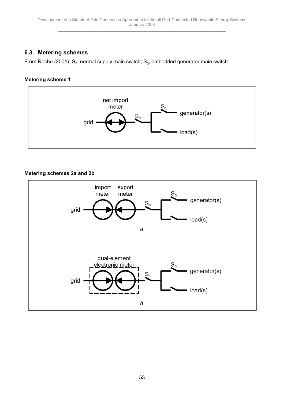## <span id="page-52-0"></span>**6.3. Metering schemes**

From Roche (2001):  $S_n$ , normal supply main switch;  $S_g$ , embedded generator main switch.

## **Metering scheme 1**



## **Metering schemes 2a and 2b**

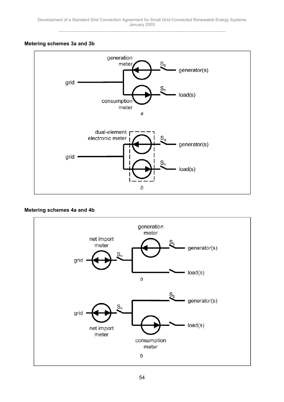### **Metering schemes 3a and 3b**



#### **Metering schemes 4a and 4b**

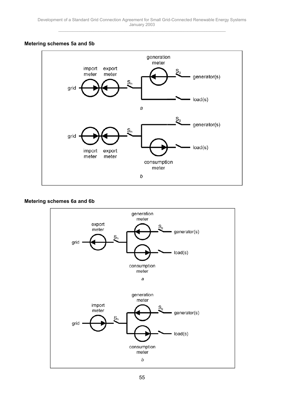#### **Metering schemes 5a and 5b**



#### **Metering schemes 6a and 6b**

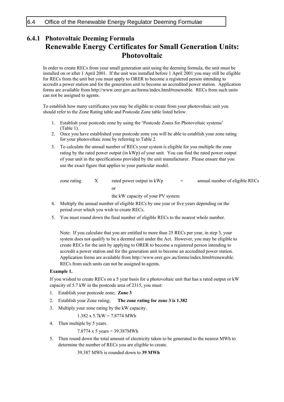## <span id="page-55-0"></span>**6.4.1 Photovoltaic Deeming Formula Renewable Energy Certificates for Small Generation Units: Photovoltaic**

In order to create RECs from your small generation unit using the deeming formula, the unit must be installed on or after 1 April 2001. If the unit was installed before 1 April 2001 you may still be eligible for RECs from the unit but you must apply to ORER to become a registered person intending to accredit a power station and for the generation unit to become an accredited power station. Application forms are available from http://www.orer.gov.au/forms/index.html#renewable. RECs from such units can not be assigned to agents.

To establish how many certificates you may be eligible to create from your photovoltaic unit you should refer to the Zone Rating table and Postcode Zone table listed below.

- 1. Establish your postcode zone by using the 'Postcode Zones for Photovoltaic systems' (Table 1).
- 2. Once you have established your postcode zone you will be able to establish your zone rating for your photovoltaic zone by referring to Table 2.
- 3. To calculate the annual number of RECs your system is eligible for you multiple the zone rating by the rated power output (in kWp) of your unit. You can find the rated power output of your unit in the specifications provided by the unit manufacturer. Please ensure that you use the exact figure that applies to your particular model.

| zone rating | rated power output in kWp | $=$ | annual number of eligible RECs |
|-------------|---------------------------|-----|--------------------------------|
|             |                           |     |                                |

the kW capacity of your PV system

- 4. Multiply the annual number of eligible RECs by one year or five years depending on the period over which you wish to create RECs.
- 5. You must round down the final number of eligible RECs to the nearest whole number.

Note: If you calculate that you are entitled to more than 25 RECs per year, in step 3, your system does not qualify to be a deemed unit under the Act. However, you may be eligible to create RECs for the unit by applying to ORER to become a registered person intending to accredit a power station and for the generation unit to become an accredited power station. Application forms are available from http://www.orer.gov.au/forms/index.html#renewable. RECs from such units can not be assigned to agents.

#### **Example 1.**

If you wished to create RECs on a 5 year basis for a photovoltaic unit that has a rated output or kW capacity of 5.7 kW in the postcode area of 2315, you must:

- 1. Establish your postcode zone; **Zone 3**
- 2. Establish your Zone rating; **The zone rating for zone 3 is 1.382**
- 3. Multiply your zone rating by the kW capacity.

1.382 x 5.7kW = 7.8774 MWh

4. Then multiple by 5 years.

7.8774 x 5 years = 39.387MWh

5. Then round down the total amount of electricity taken to be generated to the nearest MWh to determine the number of RECs you are eligible to create.

39.387 MWh is rounded down to **39 MWh**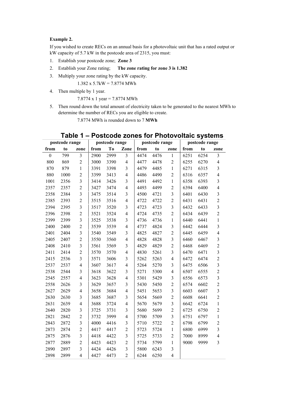#### **Example 2.**

If you wished to create RECs on an annual basis for a photovoltaic unit that has a rated output or kW capacity of 5.7 kW in the postcode area of 2315, you must:

- 1. Establish your postcode zone; **Zone 3**
- 2. Establish your Zone rating; **The zone rating for zone 3 is 1.382**
- 3. Multiply your zone rating by the kW capacity.

1.382 x 5.7kW = 7.8774 MWh

4. Then multiple by 1 year.

7.8774 x 1 year = 7.8774 MWh

5. Then round down the total amount of electricity taken to be generated to the nearest MWh to determine the number of RECs you are eligible to create.

7.8774 MWh is rounded down to 7 **MWh**

|                  | postcode range |                         | postcode range |                | postcode range |      |      | postcode range          |      |      |                         |
|------------------|----------------|-------------------------|----------------|----------------|----------------|------|------|-------------------------|------|------|-------------------------|
| from             | to             | zone                    | from           | T <sub>0</sub> | Zone           | from | to   | zone                    | from | to   | zone                    |
| $\boldsymbol{0}$ | 799            | $\overline{3}$          | 2900           | 2999           | 3              | 4474 | 4476 | $\mathbf{1}$            | 6251 | 6254 | $\overline{\mathbf{3}}$ |
| 800              | 869            | $\overline{2}$          | 3000           | 3390           | $\overline{4}$ | 4477 | 4478 | $\overline{c}$          | 6255 | 6270 | $\overline{4}$          |
| 870              | 879            | $\mathbf{1}$            | 3391           | 3398           | $\mathfrak{Z}$ | 4479 | 4485 | $\mathbf{1}$            | 6271 | 6315 | 3                       |
| 880              | 1000           | $\overline{c}$          | 3399           | 3413           | $\overline{4}$ | 4486 | 4490 | $\overline{c}$          | 6316 | 6357 | $\overline{4}$          |
| 1001             | 2356           | 3                       | 3414           | 3426           | 3              | 4491 | 4492 | $\mathbf{1}$            | 6358 | 6393 | $\overline{3}$          |
| 2357             | 2357           | $\overline{c}$          | 3427           | 3474           | $\overline{4}$ | 4493 | 4499 | $\overline{c}$          | 6394 | 6400 | $\overline{4}$          |
| 2358             | 2384           | $\overline{\mathbf{3}}$ | 3475           | 3514           | 3              | 4500 | 4721 | $\overline{\mathbf{3}}$ | 6401 | 6430 | $\overline{\mathbf{3}}$ |
| 2385             | 2393           | $\overline{2}$          | 3515           | 3516           | $\overline{4}$ | 4722 | 4722 | $\overline{c}$          | 6431 | 6431 | $\overline{2}$          |
| 2394             | 2395           | 3                       | 3517           | 3520           | $\mathfrak{Z}$ | 4723 | 4723 | 3                       | 6432 | 6433 | $\overline{\mathbf{3}}$ |
| 2396             | 2398           | $\overline{c}$          | 3521           | 3524           | $\overline{4}$ | 4724 | 4735 | $\overline{2}$          | 6434 | 6439 | $\overline{c}$          |
| 2399             | 2399           | $\overline{\mathbf{3}}$ | 3525           | 3538           | $\mathfrak{Z}$ | 4736 | 4736 | $\mathbf{1}$            | 6440 | 6441 | $\mathbf{1}$            |
| 2400             | 2400           | $\overline{c}$          | 3539           | 3539           | $\overline{4}$ | 4737 | 4824 | 3                       | 6442 | 6444 | $\overline{\mathbf{3}}$ |
| 2401             | 2404           | 3                       | 3540           | 3549           | $\mathfrak{Z}$ | 4825 | 4827 | $\overline{c}$          | 6445 | 6459 | $\overline{4}$          |
| 2405             | 2407           | $\overline{c}$          | 3550           | 3560           | $\overline{4}$ | 4828 | 4828 | $\overline{\mathbf{3}}$ | 6460 | 6467 | $\mathfrak{Z}$          |
| 2408             | 2410           | 3                       | 3561           | 3569           | 3              | 4829 | 4829 | $\overline{2}$          | 6468 | 6469 | $\overline{2}$          |
| 2411             | 2414           | $\overline{c}$          | 3570           | 3570           | $\overline{4}$ | 4830 | 5261 | $\overline{\mathbf{3}}$ | 6470 | 6471 | $\overline{3}$          |
| 2415             | 2536           | $\overline{3}$          | 3571           | 3606           | 3              | 5262 | 5263 | $\overline{4}$          | 6472 | 6474 | $\overline{c}$          |
| 2537             | 2537           | $\overline{4}$          | 3607           | 3617           | $\overline{4}$ | 5264 | 5270 | 3                       | 6475 | 6506 | $\overline{\mathbf{3}}$ |
| 2538             | 2544           | 3                       | 3618           | 3622           | 3              | 5271 | 5300 | $\overline{4}$          | 6507 | 6555 | $\overline{c}$          |
| 2545             | 2557           | $\overline{\mathbf{4}}$ | 3623           | 3628           | $\overline{4}$ | 5301 | 5429 | 3                       | 6556 | 6573 | $\overline{\mathbf{3}}$ |
| 2558             | 2626           | 3                       | 3629           | 3657           | $\mathfrak{Z}$ | 5430 | 5450 | $\overline{c}$          | 6574 | 6602 | $\overline{2}$          |
| 2627             | 2629           | $\overline{4}$          | 3658           | 3684           | $\overline{4}$ | 5451 | 5653 | 3                       | 6603 | 6607 | $\overline{3}$          |
| 2630             | 2630           | $\overline{3}$          | 3685           | 3687           | 3              | 5654 | 5669 | $\overline{c}$          | 6608 | 6641 | $\overline{c}$          |
| 2631             | 2639           | $\overline{4}$          | 3688           | 3724           | $\overline{4}$ | 5670 | 5679 | 3                       | 6642 | 6724 | $\mathbf{1}$            |
| 2640             | 2820           | 3                       | 3725           | 3731           | $\mathfrak{Z}$ | 5680 | 5699 | $\overline{c}$          | 6725 | 6750 | $\overline{c}$          |
| 2821             | 2842           | $\overline{2}$          | 3732           | 3999           | $\overline{4}$ | 5700 | 5709 | 3                       | 6751 | 6797 | $\mathbf{1}$            |
| 2843             | 2872           | $\overline{\mathbf{3}}$ | 4000           | 4416           | 3              | 5710 | 5722 | $\overline{2}$          | 6798 | 6799 | $\overline{c}$          |
| 2873             | 2874           | $\overline{c}$          | 4417           | 4417           | $\overline{c}$ | 5723 | 5724 | $\mathbf{1}$            | 6800 | 6999 | $\overline{\mathbf{3}}$ |
| 2875             | 2876           | 3                       | 4418           | 4422           | 3              | 5725 | 5733 | $\overline{c}$          | 7000 | 8999 | $\overline{4}$          |
| 2877             | 2889           | $\overline{c}$          | 4423           | 4423           | $\overline{c}$ | 5734 | 5799 | $\mathbf{1}$            | 9000 | 9999 | $\overline{3}$          |
| 2890             | 2897           | 3                       | 4424           | 4426           | 3              | 5800 | 6243 | 3                       |      |      |                         |
| 2898             | 2899           | $\overline{4}$          | 4427           | 4473           | $\overline{2}$ | 6244 | 6250 | $\overline{4}$          |      |      |                         |

## Table 1 - Postcode zones for Photovoltaic systems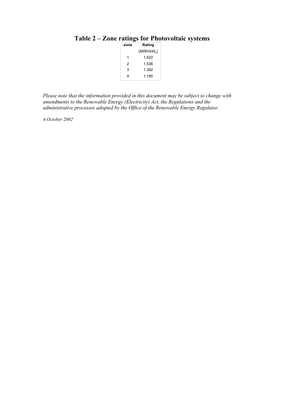| zone | Rating                 |
|------|------------------------|
|      | (MWh/kW <sub>n</sub> ) |
| 1    | 1.622                  |
| 2    | 1.536                  |
| 3    | 1.382                  |
|      | 1 185                  |
|      |                        |

## Table 2 – Zone ratings for Photovoltaic systems

*Please note that the information provided in this document may be subject to change with amendments to the Renewable Energy (Electricity) Act, the Regulations and the administrative processes adopted by the Office of the Renewable Energy Regulator.* 

*4 October 2002*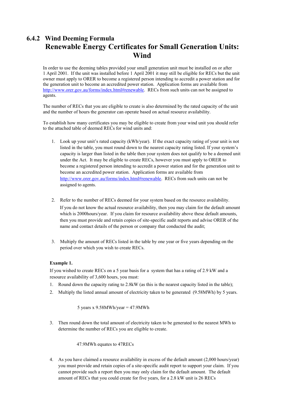## **6.4.2 Wind Deeming Formula Renewable Energy Certificates for Small Generation Units: Wind**

In order to use the deeming tables provided your small generation unit must be installed on or after 1 April 2001. If the unit was installed before 1 April 2001 it may still be eligible for RECs but the unit owner must apply to ORER to become a registered person intending to accredit a power station and for the generation unit to become an accredited power station. Application forms are available from http://www.orer.gov.au/forms/index.html#renewable. RECs from such units can not be assigned to agents.

The number of RECs that you are eligible to create is also determined by the rated capacity of the unit and the number of hours the generator can operate based on actual resource availability.

To establish how many certificates you may be eligible to create from your wind unit you should refer to the attached table of deemed RECs for wind units and:

- 1. Look up your unitís rated capacity (kWh/year). If the exact capacity rating of your unit is not listed in the table, you must round down to the nearest capacity rating listed. If your system's capacity is larger than listed in the table then your system does not qualify to be a deemed unit under the Act. It may be eligible to create RECs, however you must apply to ORER to become a registered person intending to accredit a power station and for the generation unit to become an accredited power station. Application forms are available from http://www.orer.gov.au/forms/index.html#renewable. RECs from such units can not be assigned to agents.
- 2. Refer to the number of RECs deemed for your system based on the resource availability. If you do not know the actual resource availability, then you may claim for the default amount which is 2000hours/year. If you claim for resource availability above these default amounts, then you must provide and retain copies of site-specific audit reports and advise ORER of the name and contact details of the person or company that conducted the audit;
- 3. Multiply the amount of RECs listed in the table by one year or five years depending on the period over which you wish to create RECs.

#### **Example 1.**

If you wished to create RECs on a 5 year basis for a system that has a rating of 2.9 kW and a resource availability of 3,600 hours, you must:

- 1. Round down the capacity rating to 2.8kW (as this is the nearest capacity listed in the table);
- 2. Multiply the listed annual amount of electricity taken to be generated (9.58MWh) by 5 years.

5 years x  $9.58MWh/year = 47.9MWh$ 

3. Then round down the total amount of electricity taken to be generated to the nearest MWh to determine the number of RECs you are eligible to create.

#### 47.9MWh equates to 47RECs

4. As you have claimed a resource availability in excess of the default amount (2,000 hours/year) you must provide and retain copies of a site-specific audit report to support your claim. If you cannot provide such a report then you may only claim for the default amount. The default amount of RECs that you could create for five years, for a 2.8 kW unit is 26 RECs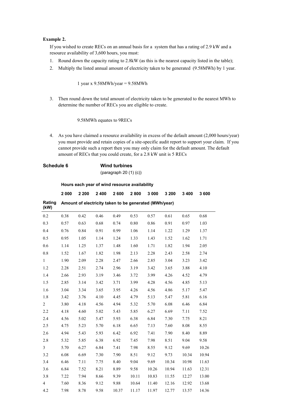#### **Example 2.**

If you wished to create RECs on an annual basis for a system that has a rating of 2.9 kW and a resource availability of 3,600 hours, you must:

- 1. Round down the capacity rating to 2.8kW (as this is the nearest capacity listed in the table);
- 2. Multiply the listed annual amount of electricity taken to be generated (9.58MWh) by 1 year.

1 year x 9.58MWh/year = 9.58MWh

3. Then round down the total amount of electricity taken to be generated to the nearest MWh to determine the number of RECs you are eligible to create.

9.58MWh equates to 9RECs

4. As you have claimed a resource availability in excess of the default amount (2,000 hours/year) you must provide and retain copies of a site-specific audit report to support your claim. If you cannot provide such a report then you may only claim for the default amount. The default amount of RECs that you could create, for a 2.8 kW unit is 5 RECs

## **Schedule 6 Wind turbines**

(paragraph 20 (1) (c))

**Hours each year of wind resource availability** 

|                | 2 000 | 2 2 0 0                                                | 2 4 0 0 | 2600  | 2800     | 3 000 | 3 200 | 3 4 0 0 | 3600  |
|----------------|-------|--------------------------------------------------------|---------|-------|----------|-------|-------|---------|-------|
| Rating<br>(kW) |       | Amount of electricity taken to be generated (MWh/year) |         |       |          |       |       |         |       |
| 0.2            | 0.38  | 0.42                                                   | 0.46    | 0.49  | 0.53     | 0.57  | 0.61  | 0.65    | 0.68  |
| 0.3            | 0.57  | 0.63                                                   | 0.68    | 0.74  | $0.80\,$ | 0.86  | 0.91  | 0.97    | 1.03  |
| 0.4            | 0.76  | 0.84                                                   | 0.91    | 0.99  | 1.06     | 1.14  | 1.22  | 1.29    | 1.37  |
| 0.5            | 0.95  | 1.05                                                   | 1.14    | 1.24  | 1.33     | 1.43  | 1.52  | 1.62    | 1.71  |
| 0.6            | 1.14  | 1.25                                                   | 1.37    | 1.48  | 1.60     | 1.71  | 1.82  | 1.94    | 2.05  |
| 0.8            | 1.52  | 1.67                                                   | 1.82    | 1.98  | 2.13     | 2.28  | 2.43  | 2.58    | 2.74  |
| $\mathbf{1}$   | 1.90  | 2.09                                                   | 2.28    | 2.47  | 2.66     | 2.85  | 3.04  | 3.23    | 3.42  |
| 1.2            | 2.28  | 2.51                                                   | 2.74    | 2.96  | 3.19     | 3.42  | 3.65  | 3.88    | 4.10  |
| 1.4            | 2.66  | 2.93                                                   | 3.19    | 3.46  | 3.72     | 3.99  | 4.26  | 4.52    | 4.79  |
| 1.5            | 2.85  | 3.14                                                   | 3.42    | 3.71  | 3.99     | 4.28  | 4.56  | 4.85    | 5.13  |
| 1.6            | 3.04  | 3.34                                                   | 3.65    | 3.95  | 4.26     | 4.56  | 4.86  | 5.17    | 5.47  |
| 1.8            | 3.42  | 3.76                                                   | 4.10    | 4.45  | 4.79     | 5.13  | 5.47  | 5.81    | 6.16  |
| $\overline{c}$ | 3.80  | 4.18                                                   | 4.56    | 4.94  | 5.32     | 5.70  | 6.08  | 6.46    | 6.84  |
| 2.2            | 4.18  | 4.60                                                   | 5.02    | 5.43  | 5.85     | 6.27  | 6.69  | 7.11    | 7.52  |
| 2.4            | 4.56  | 5.02                                                   | 5.47    | 5.93  | 6.38     | 6.84  | 7.30  | 7.75    | 8.21  |
| 2.5            | 4.75  | 5.23                                                   | 5.70    | 6.18  | 6.65     | 7.13  | 7.60  | 8.08    | 8.55  |
| 2.6            | 4.94  | 5.43                                                   | 5.93    | 6.42  | 6.92     | 7.41  | 7.90  | 8.40    | 8.89  |
| 2.8            | 5.32  | 5.85                                                   | 6.38    | 6.92  | 7.45     | 7.98  | 8.51  | 9.04    | 9.58  |
| $\mathfrak{Z}$ | 5.70  | 6.27                                                   | 6.84    | 7.41  | 7.98     | 8.55  | 9.12  | 9.69    | 10.26 |
| 3.2            | 6.08  | 6.69                                                   | 7.30    | 7.90  | 8.51     | 9.12  | 9.73  | 10.34   | 10.94 |
| 3.4            | 6.46  | 7.11                                                   | 7.75    | 8.40  | 9.04     | 9.69  | 10.34 | 10.98   | 11.63 |
| 3.6            | 6.84  | 7.52                                                   | 8.21    | 8.89  | 9.58     | 10.26 | 10.94 | 11.63   | 12.31 |
| 3.8            | 7.22  | 7.94                                                   | 8.66    | 9.39  | 10.11    | 10.83 | 11.55 | 12.27   | 13.00 |
| $\overline{4}$ | 7.60  | 8.36                                                   | 9.12    | 9.88  | 10.64    | 11.40 | 12.16 | 12.92   | 13.68 |
| 4.2            | 7.98  | 8.78                                                   | 9.58    | 10.37 | 11.17    | 11.97 | 12.77 | 13.57   | 14.36 |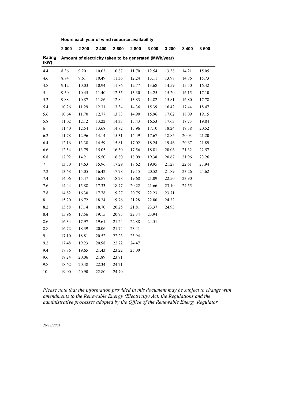| Hours each year of wind resource availability |  |  |  |  |
|-----------------------------------------------|--|--|--|--|
|-----------------------------------------------|--|--|--|--|

|                | 2 0 0 0 | 2 2 0 0 | 2400  | 2600      | 2800  | 3 0 0 0                                                | 3 200 | 3 4 0 0 | 3600  |
|----------------|---------|---------|-------|-----------|-------|--------------------------------------------------------|-------|---------|-------|
| Rating<br>(kW) |         |         |       |           |       | Amount of electricity taken to be generated (MWh/year) |       |         |       |
| 4.4            | 8.36    | 9.20    | 10.03 | $10.87\,$ | 11.70 | 12.54                                                  | 13.38 | 14.21   | 15.05 |
| 4.6            | 8.74    | 9.61    | 10.49 | 11.36     | 12.24 | 13.11                                                  | 13.98 | 14.86   | 15.73 |
| 4.8            | 9.12    | 10.03   | 10.94 | 11.86     | 12.77 | 13.68                                                  | 14.59 | 15.50   | 16.42 |
| 5              | 9.50    | 10.45   | 11.40 | 12.35     | 13.30 | 14.25                                                  | 15.20 | 16.15   | 17.10 |
| 5.2            | 9.88    | 10.87   | 11.86 | 12.84     | 13.83 | 14.82                                                  | 15.81 | 16.80   | 17.78 |
| 5.4            | 10.26   | 11.29   | 12.31 | 13.34     | 14.36 | 15.39                                                  | 16.42 | 17.44   | 18.47 |
| 5.6            | 10.64   | 11.70   | 12.77 | 13.83     | 14.90 | 15.96                                                  | 17.02 | 18.09   | 19.15 |
| 5.8            | 11.02   | 12.12   | 13.22 | 14.33     | 15.43 | 16.53                                                  | 17.63 | 18.73   | 19.84 |
| 6              | 11.40   | 12.54   | 13.68 | 14.82     | 15.96 | 17.10                                                  | 18.24 | 19.38   | 20.52 |
| 6.2            | 11.78   | 12.96   | 14.14 | 15.31     | 16.49 | 17.67                                                  | 18.85 | 20.03   | 21.20 |
| 6.4            | 12.16   | 13.38   | 14.59 | 15.81     | 17.02 | 18.24                                                  | 19.46 | 20.67   | 21.89 |
| 6.6            | 12.54   | 13.79   | 15.05 | 16.30     | 17.56 | 18.81                                                  | 20.06 | 21.32   | 22.57 |
| 6.8            | 12.92   | 14.21   | 15.50 | 16.80     | 18.09 | 19.38                                                  | 20.67 | 21.96   | 23.26 |
| $\tau$         | 13.30   | 14.63   | 15.96 | 17.29     | 18.62 | 19.95                                                  | 21.28 | 22.61   | 23.94 |
| 7.2            | 13.68   | 15.05   | 16.42 | 17.78     | 19.15 | 20.52                                                  | 21.89 | 23.26   | 24.62 |
| 7.4            | 14.06   | 15.47   | 16.87 | 18.28     | 19.68 | 21.09                                                  | 22.50 | 23.90   |       |
| 7.6            | 14.44   | 15.88   | 17.33 | 18.77     | 20.22 | 21.66                                                  | 23.10 | 24.55   |       |
| 7.8            | 14.82   | 16.30   | 17.78 | 19.27     | 20.75 | 22.23                                                  | 23.71 |         |       |
| 8              | 15.20   | 16.72   | 18.24 | 19.76     | 21.28 | 22.80                                                  | 24.32 |         |       |
| 8.2            | 15.58   | 17.14   | 18.70 | 20.25     | 21.81 | 23.37                                                  | 24.93 |         |       |
| 8.4            | 15.96   | 17.56   | 19.15 | 20.75     | 22.34 | 23.94                                                  |       |         |       |
| 8.6            | 16.34   | 17.97   | 19.61 | 21.24     | 22.88 | 24.51                                                  |       |         |       |
| 8.8            | 16.72   | 18.39   | 20.06 | 21.74     | 23.41 |                                                        |       |         |       |
| 9              | 17.10   | 18.81   | 20.52 | 22.23     | 23.94 |                                                        |       |         |       |
| 9.2            | 17.48   | 19.23   | 20.98 | 22.72     | 24.47 |                                                        |       |         |       |
| 9.4            | 17.86   | 19.65   | 21.43 | 23.22     | 25.00 |                                                        |       |         |       |
| 9.6            | 18.24   | 20.06   | 21.89 | 23.71     |       |                                                        |       |         |       |
| 9.8            | 18.62   | 20.48   | 22.34 | 24.21     |       |                                                        |       |         |       |
| $10\,$         | 19.00   | 20.90   | 22.80 | 24.70     |       |                                                        |       |         |       |

*Please note that the information provided in this document may be subject to change with amendments to the Renewable Energy (Electricity) Act, the Regulations and the administrative processes adopted by the Office of the Renewable Energy Regulator.* 

*26/11/2001*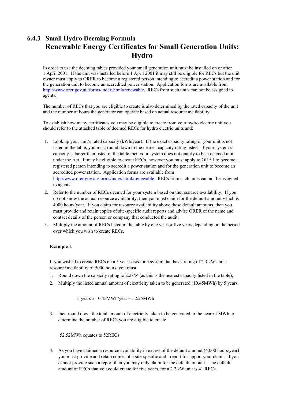## **6.4.3 Small Hydro Deeming Formula Renewable Energy Certificates for Small Generation Units: Hydro**

In order to use the deeming tables provided your small generation unit must be installed on or after 1 April 2001. If the unit was installed before 1 April 2001 it may still be eligible for RECs but the unit owner must apply to ORER to become a registered person intending to accredit a power station and for the generation unit to become an accredited power station. Application forms are available from http://www.orer.gov.au/forms/index.html#renewable. RECs from such units can not be assigned to agents.

The number of RECs that you are eligible to create is also determined by the rated capacity of the unit and the number of hours the generator can operate based on actual resource availability.

To establish how many certificates you may be eligible to create from your hydro electric unit you should refer to the attached table of deemed RECs for hydro electric units and:

- 1. Look up your unitís rated capacity (kWh/year). If the exact capacity rating of your unit is not listed in the table, you must round down to the nearest capacity rating listed. If your system's capacity is larger than listed in the table then your system does not qualify to be a deemed unit under the Act. It may be eligible to create RECs, however you must apply to ORER to become a registered person intending to accredit a power station and for the generation unit to become an accredited power station. Application forms are available from http://www.orer.gov.au/forms/index.html#renewable. RECs from such units can not be assigned to agents.
- 2. Refer to the number of RECs deemed for your system based on the resource availability. If you do not know the actual resource availability, then you must claim for the default amount which is 4000 hours/year. If you claim for resource availability above these default amounts, then you must provide and retain copies of site-specific audit reports and advise ORER of the name and contact details of the person or company that conducted the audit;
- 3. Multiply the amount of RECs listed in the table by one year or five years depending on the period over which you wish to create RECs.

#### **Example 1.**

If you wished to create RECs on a 5 year basis for a system that has a rating of 2.3 kW and a resource availability of 5000 hours, you must:

- 1. Round down the capacity rating to 2.2kW (as this is the nearest capacity listed in the table);
- 2. Multiply the listed annual amount of electricity taken to be generated (10.45MWh) by 5 years.

5 years x  $10.45$ MWh/year =  $52.25$ MWh

3. then round down the total amount of electricity taken to be generated to the nearest MWh to determine the number of RECs you are eligible to create.

#### 52.52MWh equates to 52RECs

4. As you have claimed a resource availability in excess of the default amount (4,000 hours/year) you must provide and retain copies of a site-specific audit report to support your claim. If you cannot provide such a report then you may only claim for the default amount. The default amount of RECs that you could create for five years, for a 2.2 kW unit is 41 RECs.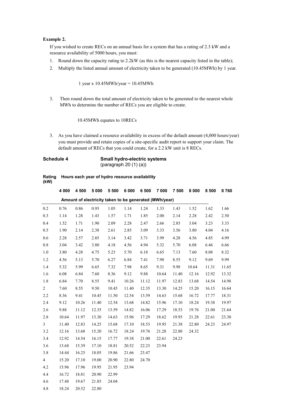#### **Example 2.**

If you wished to create RECs on an annual basis for a system that has a rating of 2.3 kW and a resource availability of 5000 hours, you must:

- 1. Round down the capacity rating to 2.2kW (as this is the nearest capacity listed in the table);
- 2. Multiply the listed annual amount of electricity taken to be generated (10.45MWh) by 1 year.

1 year x 10.45MWh/year = 10.45MWh

3. Then round down the total amount of electricity taken to be generated to the nearest whole MWh to determine the number of RECs you are eligible to create.

10.45MWh equates to 10RECs

3. As you have claimed a resource availability in excess of the default amount (4,000 hours/year) you must provide and retain copies of a site-specific audit report to support your claim. The default amount of RECs that you could create, for a 2.2 kW unit is 8 RECs.

#### **Schedule 4 Small hydro-electric systems**  (paragraph 20 (1) (a))

|      | Rating Hours each year of hydro resource availability |
|------|-------------------------------------------------------|
| (kW) |                                                       |

|                                                        | 4 0 0 0 | 4 500 | 5 0 0 0 | 5 500 | 6 0 0 0 | 6 500 | 7 000 | 7 500 | 8 0 0 0 | 8 500 | 8760  |
|--------------------------------------------------------|---------|-------|---------|-------|---------|-------|-------|-------|---------|-------|-------|
|                                                        |         |       |         |       |         |       |       |       |         |       |       |
| Amount of electricity taken to be generated (MWh/year) |         |       |         |       |         |       |       |       |         |       |       |
| $0.2\,$                                                | 0.76    | 0.86  | 0.95    | 1.05  | 1.14    | 1.24  | 1.33  | 1.43  | 1.52    | 1.62  | 1.66  |
| 0.3                                                    | 1.14    | 1.28  | 1.43    | 1.57  | 1.71    | 1.85  | 2.00  | 2.14  | 2.28    | 2.42  | 2.50  |
| $0.4\,$                                                | 1.52    | 1.71  | 1.90    | 2.09  | 2.28    | 2.47  | 2.66  | 2.85  | 3.04    | 3.23  | 3.33  |
| 0.5                                                    | 1.90    | 2.14  | 2.38    | 2.61  | 2.85    | 3.09  | 3.33  | 3.56  | 3.80    | 4.04  | 4.16  |
| 0.6                                                    | 2.28    | 2.57  | 2.85    | 3.14  | 3.42    | 3.71  | 3.99  | 4.28  | 4.56    | 4.85  | 4.99  |
| 0.8                                                    | 3.04    | 3.42  | 3.80    | 4.18  | 4.56    | 4.94  | 5.32  | 5.70  | 6.08    | 6.46  | 6.66  |
| 1.0                                                    | 3.80    | 4.28  | 4.75    | 5.23  | 5.70    | 6.18  | 6.65  | 7.13  | 7.60    | 8.08  | 8.32  |
| 1.2                                                    | 4.56    | 5.13  | 5.70    | 6.27  | 6.84    | 7.41  | 7.98  | 8.55  | 9.12    | 9.69  | 9.99  |
| 1.4                                                    | 5.32    | 5.99  | 6.65    | 7.32  | 7.98    | 8.65  | 9.31  | 9.98  | 10.64   | 11.31 | 11.65 |
| 1.6                                                    | 6.08    | 6.84  | 7.60    | 8.36  | 9.12    | 9.88  | 10.64 | 11.40 | 12.16   | 12.92 | 13.32 |
| 1.8                                                    | 6.84    | 7.70  | 8.55    | 9.41  | 10.26   | 11.12 | 11.97 | 12.83 | 13.68   | 14.54 | 14.98 |
| $\overline{\mathbf{c}}$                                | 7.60    | 8.55  | 9.50    | 10.45 | 11.40   | 12.35 | 13.30 | 14.25 | 15.20   | 16.15 | 16.64 |
| 2.2                                                    | 8.36    | 9.41  | 10.45   | 11.50 | 12.54   | 13.59 | 14.63 | 15.68 | 16.72   | 17.77 | 18.31 |
| 2.4                                                    | 9.12    | 10.26 | 11.40   | 12.54 | 13.68   | 14.82 | 15.96 | 17.10 | 18.24   | 19.38 | 19.97 |
| 2.6                                                    | 9.88    | 11.12 | 12.35   | 13.59 | 14.82   | 16.06 | 17.29 | 18.53 | 19.76   | 21.00 | 21.64 |
| 2.8                                                    | 10.64   | 11.97 | 13.30   | 14.63 | 15.96   | 17.29 | 18.62 | 19.95 | 21.28   | 22.61 | 23.30 |
| 3                                                      | 11.40   | 12.83 | 14.25   | 15.68 | 17.10   | 18.53 | 19.95 | 21.38 | 22.80   | 24.23 | 24.97 |
| 3.2                                                    | 12.16   | 13.68 | 15.20   | 16.72 | 18.24   | 19.76 | 21.28 | 22.80 | 24.32   |       |       |
| 3.4                                                    | 12.92   | 14.54 | 16.15   | 17.77 | 19.38   | 21.00 | 22.61 | 24.23 |         |       |       |
| 3.6                                                    | 13.68   | 15.39 | 17.10   | 18.81 | 20.52   | 22.23 | 23.94 |       |         |       |       |
| 3.8                                                    | 14.44   | 16.25 | 18.05   | 19.86 | 21.66   | 23.47 |       |       |         |       |       |
| 4                                                      | 15.20   | 17.10 | 19.00   | 20.90 | 22.80   | 24.70 |       |       |         |       |       |
| 4.2                                                    | 15.96   | 17.96 | 19.95   | 21.95 | 23.94   |       |       |       |         |       |       |
| 4.4                                                    | 16.72   | 18.81 | 20.90   | 22.99 |         |       |       |       |         |       |       |
| 4.6                                                    | 17.48   | 19.67 | 21.85   | 24.04 |         |       |       |       |         |       |       |
| 4.8                                                    | 18.24   | 20.52 | 22.80   |       |         |       |       |       |         |       |       |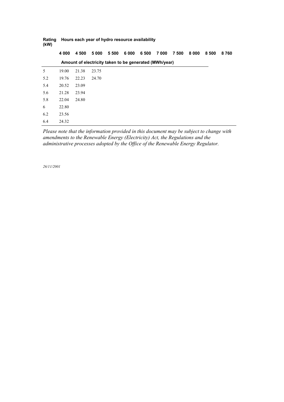| (kW) |         |       |                                                        |       |      |       |      |       |         |       |      |
|------|---------|-------|--------------------------------------------------------|-------|------|-------|------|-------|---------|-------|------|
|      | 4 0 0 0 | 4 500 | 5 0 0 0                                                | 5 500 | 6000 | 6 500 | 7000 | 7 500 | 8 0 0 0 | 8 500 | 8760 |
|      |         |       | Amount of electricity taken to be generated (MWh/year) |       |      |       |      |       |         |       |      |
| 5    | 19.00   | 21.38 | 23.75                                                  |       |      |       |      |       |         |       |      |
| 5.2  | 19.76   | 22.23 | 24.70                                                  |       |      |       |      |       |         |       |      |
| 5.4  | 20.52   | 23.09 |                                                        |       |      |       |      |       |         |       |      |
| 5.6  | 21.28   | 23.94 |                                                        |       |      |       |      |       |         |       |      |
| 5.8  | 22.04   | 24.80 |                                                        |       |      |       |      |       |         |       |      |
| 6    | 22.80   |       |                                                        |       |      |       |      |       |         |       |      |
| 6.2  | 23.56   |       |                                                        |       |      |       |      |       |         |       |      |
| 6.4  | 24.32   |       |                                                        |       |      |       |      |       |         |       |      |

**Rating Hours each year of hydro resource availability** 

*Please note that the information provided in this document may be subject to change with amendments to the Renewable Energy (Electricity) Act, the Regulations and the administrative processes adopted by the Office of the Renewable Energy Regulator.* 

*26/11/2001*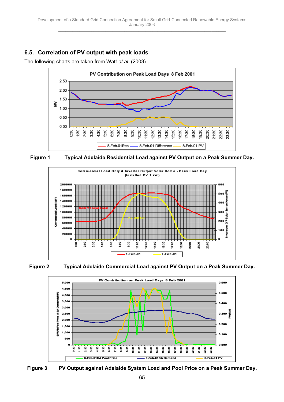## <span id="page-64-0"></span>**6.5. Correlation of PV output with peak loads**

The following charts are taken from Watt *et al*. (2003).











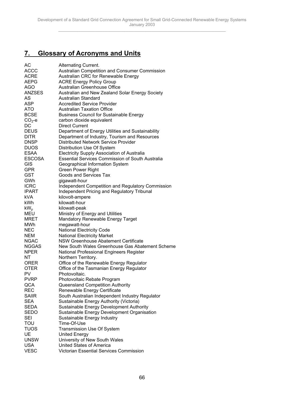## <span id="page-65-0"></span>**7. Glossary of Acronyms and Units**

| АC            | <b>Alternating Current.</b>                             |
|---------------|---------------------------------------------------------|
| <b>ACCC</b>   | Australian Competition and Consumer Commission          |
| <b>ACRE</b>   | Australian CRC for Renewable Energy                     |
| <b>AEPG</b>   | <b>ACRE Energy Policy Group</b>                         |
| <b>AGO</b>    | Australian Greenhouse Office                            |
| <b>ANZSES</b> | Australian and New Zealand Solar Energy Society         |
| AS            | Australian Standard                                     |
| ASP           | <b>Accredited Service Provider</b>                      |
| ATO           | <b>Australian Taxation Office</b>                       |
| <b>BCSE</b>   |                                                         |
| $CO2-e$       | <b>Business Council for Sustainable Energy</b>          |
|               | carbon dioxide equivalent<br>Direct Current             |
| DC            |                                                         |
| <b>DEUS</b>   | Department of Energy Utilities and Sustainability       |
| <b>DITR</b>   | Department of Industry, Tourism and Resources           |
| <b>DNSP</b>   | Distributed Network Service Provider                    |
| <b>DUOS</b>   | Distribution Use Of System                              |
| <b>ESAA</b>   | <b>Electricity Supply Association of Australia</b>      |
| <b>ESCOSA</b> | <b>Essential Services Commission of South Australia</b> |
| <b>GIS</b>    | Geographical Information System                         |
| <b>GPR</b>    | <b>Green Power Right</b>                                |
| GST           | Goods and Services Tax                                  |
| GWh           | gigawatt-hour                                           |
| <b>ICRC</b>   | Independent Competition and Regulatory Commission       |
| <b>IPART</b>  | Independent Pricing and Regulatory Tribunal             |
| kVA           | kilovolt-ampere                                         |
| kWh           | kilowatt-hour                                           |
| $kW_{p}$      | kilowatt-peak                                           |
| <b>MEU</b>    | Ministry of Energy and Utilities                        |
| <b>MRET</b>   | Mandatory Renewable Energy Target                       |
| MWh           | megawatt-hour                                           |
|               |                                                         |
| NEC           | <b>National Electricity Code</b>                        |
| <b>NEM</b>    | <b>National Electricity Market</b>                      |
| <b>NGAC</b>   | <b>NSW Greenhouse Abatement Certificate</b>             |
| <b>NGGAS</b>  | New South Wales Greenhouse Gas Abatement Scheme         |
| <b>NPER</b>   | National Professional Engineers Register                |
| ΝT            | Northern Territory.                                     |
| <b>ORER</b>   | Office of the Renewable Energy Regulator                |
| <b>OTER</b>   | Office of the Tasmanian Energy Regulator                |
| PV            | Photovoltaic.                                           |
| <b>PVRP</b>   | Photovoltaic Rebate Program                             |
| QCA           | Queensland Competition Authority                        |
| <b>REC</b>    | Renewable Energy Certificate                            |
| <b>SAIIR</b>  | South Australian Independent Industry Regulator         |
| SEA           | Sustainable Energy Authority (Victoria)                 |
| <b>SEDA</b>   | Sustainable Energy Development Authority                |
| SEDO          | Sustainable Energy Development Organisation             |
| <b>SEI</b>    | Sustainable Energy Industry                             |
| TOU           | Time-Of-Use                                             |
| <b>TUOS</b>   | <b>Transmission Use Of System</b>                       |
| UE            | <b>United Energy</b>                                    |
| <b>UNSW</b>   | University of New South Wales                           |
| <b>USA</b>    | <b>United States of America</b>                         |
|               | <b>Victorian Essential Services Commission</b>          |
| <b>VESC</b>   |                                                         |